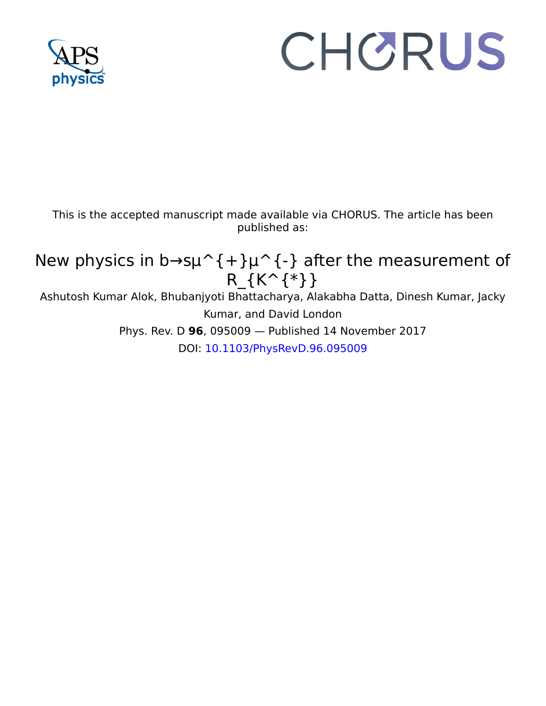

# CHORUS

This is the accepted manuscript made available via CHORUS. The article has been published as:

# New physics in b→s $\mu$  {+} $\mu$  {-} after the measurement of R\_{K^{\*}}

Ashutosh Kumar Alok, Bhubanjyoti Bhattacharya, Alakabha Datta, Dinesh Kumar, Jacky Kumar, and David London Phys. Rev. D **96**, 095009 — Published 14 November 2017

DOI: 10.1103/PhysRevD.96.095009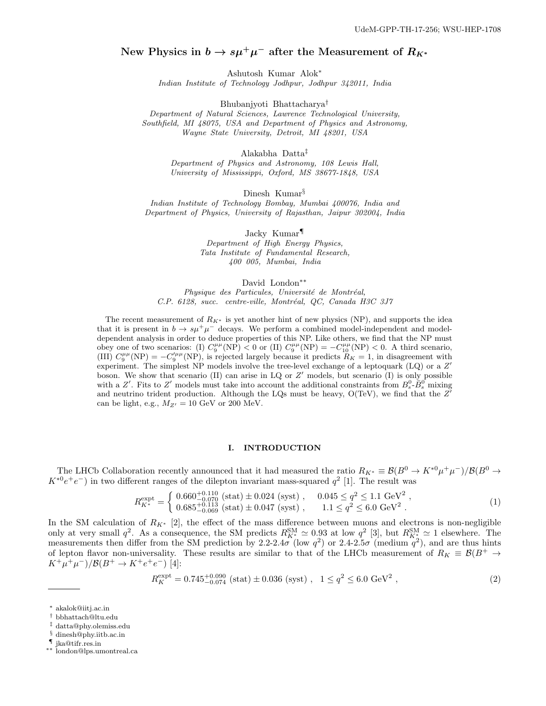# New Physics in  $b \to s \mu^+ \mu^-$  after the Measurement of  $R_{K^*}$

Ashutosh Kumar Alok<sup>∗</sup>

Indian Institute of Technology Jodhpur, Jodhpur 342011, India

Bhubanjyoti Bhattacharya†

Department of Natural Sciences, Lawrence Technological University, Southfield, MI 48075, USA and Department of Physics and Astronomy, Wayne State University, Detroit, MI 48201, USA

Alakabha Datta‡

Department of Physics and Astronomy, 108 Lewis Hall, University of Mississippi, Oxford, MS 38677-1848, USA

Dinesh Kumar<sup>§</sup>

Indian Institute of Technology Bombay, Mumbai 400076, India and Department of Physics, University of Rajasthan, Jaipur 302004, India

> Jacky Kumar¶ Department of High Energy Physics, Tata Institute of Fundamental Research, 400 005, Mumbai, India

> > David London∗∗

Physique des Particules, Université de Montréal, C.P. 6128, succ. centre-ville, Montréal, QC, Canada H3C 3J7

The recent measurement of  $R_{K^*}$  is yet another hint of new physics (NP), and supports the idea that it is present in  $b \to s\mu^+\mu^-$  decays. We perform a combined model-independent and modeldependent analysis in order to deduce properties of this NP. Like others, we find that the NP must obey one of two scenarios: (I)  $C_9^{\mu\mu}(\text{NP}) < 0$  or (II)  $C_9^{\mu\mu}(\text{NP}) = -C_{10}^{\mu\mu}(\text{NP}) < 0$ . A third scenario, (III)  $C_9^{\mu\mu}(\text{NP}) = -C_9^{\prime\mu\mu}(\text{NP})$ , is rejected largely because it predicts  $R_K = 1$ , in disagreement with experiment. The simplest NP models involve the tree-level exchange of a leptoquark (LQ) or a  $Z'$ boson. We show that scenario (II) can arise in LQ or Z ′ models, but scenario (I) is only possible with a Z'. Fits to Z' models must take into account the additional constraints from  $B_s^0$ - $\bar{B}_s^0$  mixing and neutrino trident production. Although the LQs must be heavy,  $O(TeV)$ , we find that the  $Z'$ can be light, e.g.,  $M_{Z'} = 10$  GeV or 200 MeV.

#### I. INTRODUCTION

The LHCb Collaboration recently announced that it had measured the ratio  $R_{K^*} \equiv \mathcal{B}(B^0 \to K^{*0} \mu^+ \mu^-)/\mathcal{B}(B^0 \to$  $K^{*0}e^+e^-$ ) in two different ranges of the dilepton invariant mass-squared  $q^2$  [1]. The result was

$$
R_{K^*}^{\text{expt}} = \begin{cases} 0.660^{+0.110}_{-0.070} \text{ (stat)} \pm 0.024 \text{ (syst)} , & 0.045 \le q^2 \le 1.1 \text{ GeV}^2 ,\\ 0.685^{+0.113}_{-0.069} \text{ (stat)} \pm 0.047 \text{ (syst)} , & 1.1 \le q^2 \le 6.0 \text{ GeV}^2 . \end{cases} (1)
$$

In the SM calculation of  $R_{K^*}$  [2], the effect of the mass difference between muons and electrons is non-negligible only at very small  $q^2$ . As a consequence, the SM predicts  $R_{K^*}^{\text{SM}} \approx 0.93$  at low  $q^2$  [3], but  $R_{K^*}^{\text{SM}} \approx 1$  elsewhere. The measurements then differ from the SM prediction by 2.2-2.4 $\sigma$  (low  $q^2$ ) or 2.4-2.5 $\sigma$  (medium  $q^2$ ), and are thus hints of lepton flavor non-universality. These results are similar to that of the LHCb measurement of  $R_K \equiv \mathcal{B}(B^+ \to$  $K^+\mu^+\mu^-)/\mathcal{B}(B^+\to K^+e^+e^-)$  [4]:

$$
R_K^{\text{expt}} = 0.745^{+0.090}_{-0.074} \text{ (stat)} \pm 0.036 \text{ (syst)} , \quad 1 \le q^2 \le 6.0 \text{ GeV}^2 , \tag{2}
$$

- ‡ datta@phy.olemiss.edu
- § dinesh@phy.iitb.ac.in

<sup>∗</sup> akalok@iitj.ac.in

<sup>†</sup> bbhattach@ltu.edu

<sup>¶</sup> jka@tifr.res.in

<sup>∗∗</sup> london@lps.umontreal.ca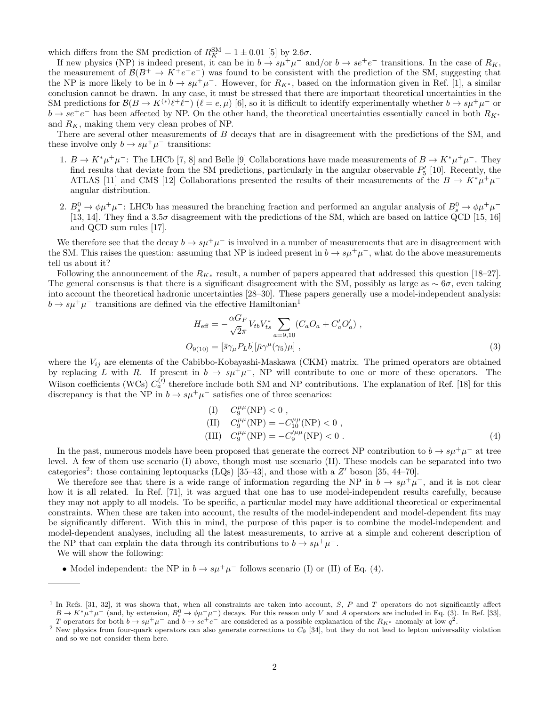which differs from the SM prediction of  $R_K^{\text{SM}} = 1 \pm 0.01$  [5] by  $2.6\sigma$ .

If new physics (NP) is indeed present, it can be in  $b \to s\mu^+\mu^-$  and/or  $b \to s e^+e^-$  transitions. In the case of  $R_K$ , the measurement of  $\mathcal{B}(B^+ \to K^+e^+e^-)$  was found to be consistent with the prediction of the SM, suggesting that the NP is more likely to be in  $b \to s\mu^+\mu^-$ . However, for  $R_{K^*}$ , based on the information given in Ref. [1], a similar conclusion cannot be drawn. In any case, it must be stressed that there are important theoretical uncertainties in the SM predictions for  $\mathcal{B}(B \to K^{(*)}\ell^+\ell^-)$   $(\ell = e, \mu)$  [6], so it is difficult to identify experimentally whether  $b \to s\mu^+\mu^-$  or  $b \to s e^+e^-$  has been affected by NP. On the other hand, the theoretical uncertainties essentially cancel in both  $R_{K^*}$ and  $R_K$ , making them very clean probes of NP.

There are several other measurements of B decays that are in disagreement with the predictions of the SM, and these involve only  $b \to s\mu^+\mu^-$  transitions:

- 1.  $B \to K^*\mu^+\mu^-$ : The LHCb [7, 8] and Belle [9] Collaborations have made measurements of  $B \to K^*\mu^+\mu^-$ . They find results that deviate from the SM predictions, particularly in the angular observable  $P'_{5}$  [10]. Recently, the ATLAS [11] and CMS [12] Collaborations presented the results of their measurements of the  $B \to K^* \mu^+ \mu^$ angular distribution.
- 2.  $B^0_s \to \phi \mu^+ \mu^-$ : LHCb has measured the branching fraction and performed an angular analysis of  $B^0_s \to \phi \mu^+ \mu^-$ [13, 14]. They find a  $3.5\sigma$  disagreement with the predictions of the SM, which are based on lattice QCD [15, 16] and QCD sum rules [17].

We therefore see that the decay  $b \to s\mu^+\mu^-$  is involved in a number of measurements that are in disagreement with the SM. This raises the question: assuming that NP is indeed present in  $b \to s\mu^+\mu^-$ , what do the above measurements tell us about it?

Following the announcement of the  $R_{K*}$  result, a number of papers appeared that addressed this question [18–27]. The general consensus is that there is a significant disagreement with the SM, possibly as large as  $\sim 6\sigma$ , even taking into account the theoretical hadronic uncertainties [28–30]. These papers generally use a model-independent analysis:  $b \to s\mu^+\mu^-$  transitions are defined via the effective Hamiltonian<sup>1</sup>

 $\alpha$ 

$$
H_{\text{eff}} = -\frac{\alpha G_F}{\sqrt{2}\pi} V_{tb} V_{ts}^* \sum_{a=9,10} (C_a O_a + C_a' O_a') ,
$$
  
\n
$$
O_{9(10)} = [\bar{s} \gamma_\mu P_L b] [\bar{\mu} \gamma^\mu (\gamma_5) \mu] ,
$$
\n(3)

where the  $V_{ij}$  are elements of the Cabibbo-Kobayashi-Maskawa (CKM) matrix. The primed operators are obtained by replacing L with R. If present in  $b \to s\mu^+\mu^-$ , NP will contribute to one or more of these operators. The Wilson coefficients (WCs)  $C_a^{(\prime)}$  therefore include both SM and NP contributions. The explanation of Ref. [18] for this discrepancy is that the NP in  $b \to s\mu^+\mu^-$  satisfies one of three scenarios:

(I) 
$$
C_9^{\mu\mu}(\text{NP}) < 0
$$
,  
\n(II)  $C_9^{\mu\mu}(\text{NP}) = -C_{10}^{\mu\mu}(\text{NP}) < 0$ ,  
\n(III)  $C_9^{\mu\mu}(\text{NP}) = -C_9^{\prime\mu\mu}(\text{NP}) < 0$ . (4)

In the past, numerous models have been proposed that generate the correct NP contribution to  $b \to s\mu^+\mu^-$  at tree level. A few of them use scenario (I) above, though most use scenario (II). These models can be separated into two categories<sup>2</sup>: those containing leptoquarks (LQs) [35–43], and those with a  $Z'$  boson [35, 44–70].

We therefore see that there is a wide range of information regarding the NP in  $b \to s\mu^+\mu^-$ , and it is not clear how it is all related. In Ref. [71], it was argued that one has to use model-independent results carefully, because they may not apply to all models. To be specific, a particular model may have additional theoretical or experimental constraints. When these are taken into account, the results of the model-independent and model-dependent fits may be significantly different. With this in mind, the purpose of this paper is to combine the model-independent and model-dependent analyses, including all the latest measurements, to arrive at a simple and coherent description of the NP that can explain the data through its contributions to  $b \to s\mu^+\mu^-$ .

We will show the following:

• Model independent: the NP in  $b \to s\mu^+\mu^-$  follows scenario (I) or (II) of Eq. (4).

<sup>&</sup>lt;sup>1</sup> In Refs. [31, 32], it was shown that, when all constraints are taken into account, S, P and T operators do not significantly affect  $B \to K^* \mu^+ \mu^-$  (and, by extension,  $B_s^0 \to \phi \mu^+ \mu^-$ ) decays. For this reason only V and A operators are included in Eq. (3). In Ref. [33], T operators for both  $b \to s\mu^+\mu^-$  and  $b \to s e^+e^-$  are considered as a possible explanation of the  $R_{K^*}$  anomaly at low  $q^2$ .

 $2$  New physics from four-quark operators can also generate corrections to  $C_9$  [34], but they do not lead to lepton universality violation and so we not consider them here.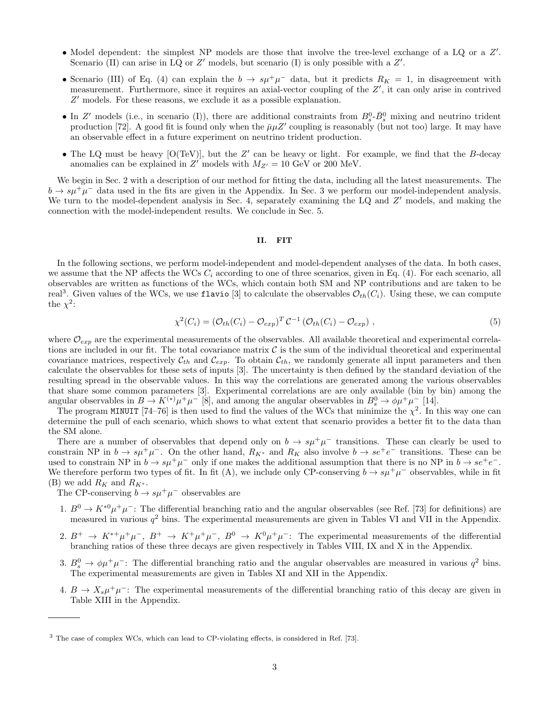- Model dependent: the simplest NP models are those that involve the tree-level exchange of a LQ or a  $Z'$ . Scenario (II) can arise in LQ or  $Z'$  models, but scenario (I) is only possible with a  $Z'$ .
- Scenario (III) of Eq. (4) can explain the  $b \to s\mu^+\mu^-$  data, but it predicts  $R_K = 1$ , in disagreement with measurement. Furthermore, since it requires an axial-vector coupling of the Z', it can only arise in contrived Z ′ models. For these reasons, we exclude it as a possible explanation.
- In Z' models (i.e., in scenario (I)), there are additional constraints from  $B_s^0$ - $\bar{B}_s^0$  mixing and neutrino trident production [72]. A good fit is found only when the  $\bar{\mu}\mu Z'$  coupling is reasonably (but not too) large. It may have an observable effect in a future experiment on neutrino trident production.
- The LQ must be heavy  $[O(TeV)]$ , but the  $Z'$  can be heavy or light. For example, we find that the B-decay anomalies can be explained in Z' models with  $M_{Z'} = 10$  GeV or 200 MeV.

We begin in Sec. 2 with a description of our method for fitting the data, including all the latest measurements. The  $b \rightarrow s\mu^{+}\mu^{-}$  data used in the fits are given in the Appendix. In Sec. 3 we perform our model-independent analysis. We turn to the model-dependent analysis in Sec. 4, separately examining the LQ and Z' models, and making the connection with the model-independent results. We conclude in Sec. 5.

#### II. FIT

In the following sections, we perform model-independent and model-dependent analyses of the data. In both cases, we assume that the NP affects the WCs  $C_i$  according to one of three scenarios, given in Eq. (4). For each scenario, all observables are written as functions of the WCs, which contain both SM and NP contributions and are taken to be real<sup>3</sup>. Given values of the WCs, we use flavio [3] to calculate the observables  $\mathcal{O}_{th}(C_i)$ . Using these, we can compute the  $\chi^2$ :

$$
\chi^2(C_i) = \left(\mathcal{O}_{th}(C_i) - \mathcal{O}_{exp}\right)^T \mathcal{C}^{-1} \left(\mathcal{O}_{th}(C_i) - \mathcal{O}_{exp}\right),\tag{5}
$$

where  $\mathcal{O}_{\epsilon x}$  are the experimental measurements of the observables. All available theoretical and experimental correlations are included in our fit. The total covariance matrix  $\mathcal C$  is the sum of the individual theoretical and experimental covariance matrices, respectively  $C_{th}$  and  $C_{exp}$ . To obtain  $C_{th}$ , we randomly generate all input parameters and then calculate the observables for these sets of inputs [3]. The uncertainty is then defined by the standard deviation of the resulting spread in the observable values. In this way the correlations are generated among the various observables that share some common parameters [3]. Experimental correlations are are only available (bin by bin) among the angular observables in  $B \to K^{(*)} \mu^+ \mu^-$  [8], and among the angular observables in  $B^0_s \to \phi \mu^+ \mu^-$  [14].

The program MINUIT [74–76] is then used to find the values of the WCs that minimize the  $\chi^2$ . In this way one can determine the pull of each scenario, which shows to what extent that scenario provides a better fit to the data than the SM alone.

There are a number of observables that depend only on  $b \to s\mu^+\mu^-$  transitions. These can clearly be used to constrain NP in  $b \to s\mu^+\mu^-$ . On the other hand,  $R_{K^*}$  and  $R_K$  also involve  $b \to s e^+e^-$  transitions. These can be used to constrain NP in  $b \to s\mu^+\mu^-$  only if one makes the additional assumption that there is no NP in  $b \to s e^+e^-$ . We therefore perform two types of fit. In fit (A), we include only CP-conserving  $b \to s\mu^+\mu^-$  observables, while in fit (B) we add  $R_K$  and  $R_{K^*}$ .

The CP-conserving  $b \to s\mu^+\mu^-$  observables are

- 1.  $B^0 \to K^{*0} \mu^+ \mu^-$ : The differential branching ratio and the angular observables (see Ref. [73] for definitions) are measured in various  $q^2$  bins. The experimental measurements are given in Tables VI and VII in the Appendix.
- 2.  $B^+ \to K^{*+} \mu^+ \mu^-$ ,  $B^+ \to K^+ \mu^+ \mu^-$ ,  $B^0 \to K^0 \mu^+ \mu^-$ : The experimental measurements of the differential branching ratios of these three decays are given respectively in Tables VIII, IX and X in the Appendix.
- 3.  $B_s^0 \rightarrow \phi \mu^+ \mu^-$ : The differential branching ratio and the angular observables are measured in various  $q^2$  bins. The experimental measurements are given in Tables XI and XII in the Appendix.
- 4.  $B \to X_s \mu^+ \mu^-$ : The experimental measurements of the differential branching ratio of this decay are given in Table XIII in the Appendix.

<sup>3</sup> The case of complex WCs, which can lead to CP-violating effects, is considered in Ref. [73].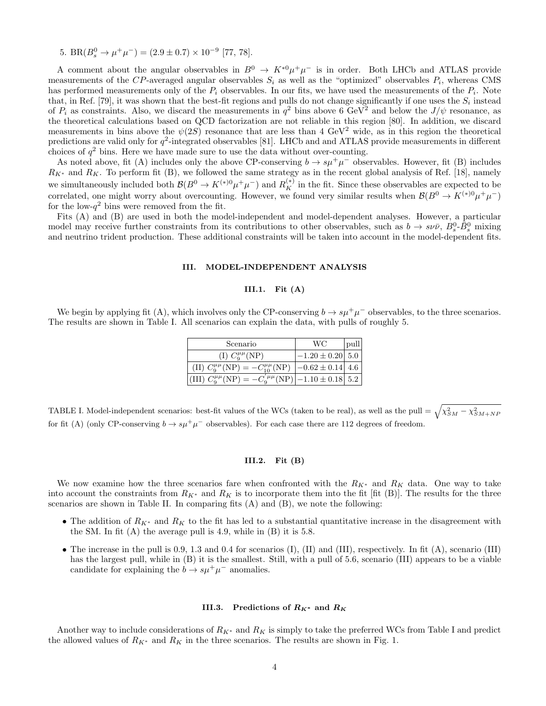5. BR( $B_s^0 \to \mu^+\mu^-$ ) = (2.9 ± 0.7) × 10<sup>-9</sup> [77, 78].

A comment about the angular observables in  $B^0 \to K^{*0} \mu^+ \mu^-$  is in order. Both LHCb and ATLAS provide measurements of the CP-averaged angular observables  $S_i$  as well as the "optimized" observables  $P_i$ , whereas CMS has performed measurements only of the  $P_i$  observables. In our fits, we have used the measurements of the  $P_i$ . Note that, in Ref. [79], it was shown that the best-fit regions and pulls do not change significantly if one uses the  $S_i$  instead of  $P_i$  as constraints. Also, we discard the measurements in  $q^2$  bins above 6 GeV<sup>2</sup> and below the  $J/\psi$  resonance, as the theoretical calculations based on QCD factorization are not reliable in this region [80]. In addition, we discard measurements in bins above the  $\psi(2S)$  resonance that are less than 4 GeV<sup>2</sup> wide, as in this region the theoretical predictions are valid only for  $q^2$ -integrated observables [81]. LHCb and and ATLAS provide measurements in different choices of  $q^2$  bins. Here we have made sure to use the data without over-counting.

As noted above, fit (A) includes only the above CP-conserving  $b \to s\mu^+\mu^-$  observables. However, fit (B) includes  $R_{K^*}$  and  $R_K$ . To perform fit (B), we followed the same strategy as in the recent global analysis of Ref. [18], namely we simultaneously included both  $\mathcal{B}(B^0 \to K^{(*)0} \mu^+ \mu^-)$  and  $R_K^{(*)}$  in the fit. Since these observables are expected to be correlated, one might worry about overcounting. However, we found very similar results when  $\mathcal{B}(B^0 \to K^{(*)0} \mu^+ \mu^-)$ for the low- $q^2$  bins were removed from the fit.

Fits (A) and (B) are used in both the model-independent and model-dependent analyses. However, a particular model may receive further constraints from its contributions to other observables, such as  $b \to s \nu \bar{\nu}$ ,  $B_s^0$ - $\bar{B}_s^0$  mixing and neutrino trident production. These additional constraints will be taken into account in the model-dependent fits.

#### III. MODEL-INDEPENDENT ANALYSIS

#### III.1. Fit  $(A)$

We begin by applying fit (A), which involves only the CP-conserving  $b \to s\mu^+\mu^-$  observables, to the three scenarios. The results are shown in Table I. All scenarios can explain the data, with pulls of roughly 5.

| Scenario                                                                                                                              | WC.                               | pull |
|---------------------------------------------------------------------------------------------------------------------------------------|-----------------------------------|------|
| (I) $C_9^{\mu\mu}(\text{NP})$                                                                                                         | $-1.20 \pm 0.20$ 5.0              |      |
| (II) $C_9^{\mu\mu}(\text{NP}) = -C_{10}^{\mu\mu}(\text{NP})$                                                                          | $\left[-0.62 \pm 0.14\right]$ 4.6 |      |
| $\left  \text{(III)}\ C_{9}^{\mu\mu}(\text{NP}) \right  -C_{9}^{'\mu\mu}(\text{NP}) \left  -1.10 \pm 0.18 \right  5.2 \left  \right.$ |                                   |      |

TABLE I. Model-independent scenarios: best-fit values of the WCs (taken to be real), as well as the pull  $= \sqrt{\chi^2_{SM}-\chi^2_{SM+NF}}$ for fit (A) (only CP-conserving  $b \to s\mu^+\mu^-$  observables). For each case there are 112 degrees of freedom.

#### III.2. Fit (B)

We now examine how the three scenarios fare when confronted with the  $R_{K^*}$  and  $R_K$  data. One way to take into account the constraints from  $R_{K^*}$  and  $R_K$  is to incorporate them into the fit [fit (B)]. The results for the three scenarios are shown in Table II. In comparing fits (A) and (B), we note the following:

- The addition of  $R_{K^*}$  and  $R_K$  to the fit has led to a substantial quantitative increase in the disagreement with the SM. In fit  $(A)$  the average pull is 4.9, while in  $(B)$  it is 5.8.
- The increase in the pull is 0.9, 1.3 and 0.4 for scenarios (I), (II) and (III), respectively. In fit (A), scenario (III) has the largest pull, while in (B) it is the smallest. Still, with a pull of 5.6, scenario (III) appears to be a viable candidate for explaining the  $b \to s\mu^+\mu^-$  anomalies.

#### III.3. Predictions of  $R_{K^*}$  and  $R_K$

Another way to include considerations of  $R_{K^*}$  and  $R_K$  is simply to take the preferred WCs from Table I and predict the allowed values of  $R_{K^*}$  and  $R_K$  in the three scenarios. The results are shown in Fig. 1.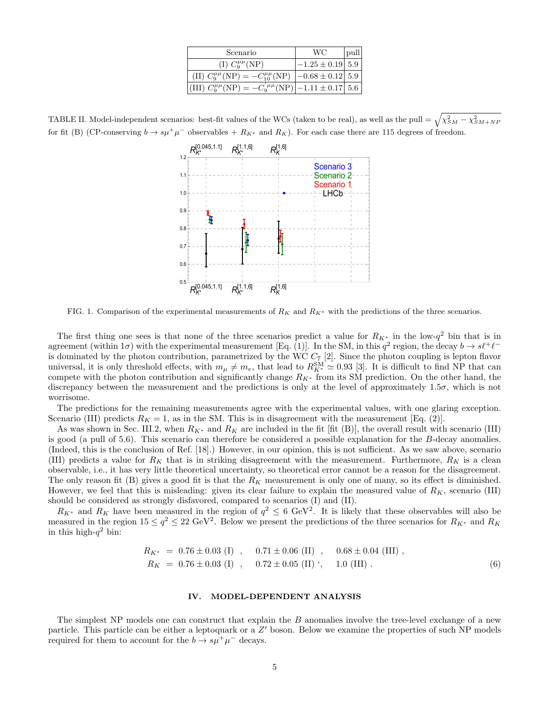| Scenario                                                                                                               | WС                                | pull |
|------------------------------------------------------------------------------------------------------------------------|-----------------------------------|------|
| (I) $C_9^{\mu\mu}(\text{NP})$                                                                                          | $-1.25 \pm 0.19$   $5.9$          |      |
| (II) $C_9^{\mu\mu}(\text{NP}) = -C_{10}^{\mu\mu}(\text{NP})$                                                           | $\left[-0.68 \pm 0.12\right]$ 5.9 |      |
| $\left  \text{(III)}\ C_{9}^{\mu\mu}(\text{NP}) \right  -C_{9}^{'\mu\mu}(\text{NP}) \left  -1.11 \pm 0.17 \right  5.6$ |                                   |      |

TABLE II. Model-independent scenarios: best-fit values of the WCs (taken to be real), as well as the pull  $= \sqrt{\chi^2_{SM}-\chi^2_{SM+NF}}$ for fit (B) (CP-conserving  $b \to s\mu^+\mu^-$  observables +  $R_{K^*}$  and  $R_K$ ). For each case there are 115 degrees of freedom.



FIG. 1. Comparison of the experimental measurements of  $R_K$  and  $R_{K^*}$  with the predictions of the three scenarios.

The first thing one sees is that none of the three scenarios predict a value for  $R_{K^*}$  in the low- $q^2$  bin that is in agreement (within  $1\sigma$ ) with the experimental measurement [Eq. (1)]. In the SM, in this  $q^2$  region, the decay  $b \to s\ell^+\ell^$ is dominated by the photon contribution, parametrized by the WC  $C_7$  [2]. Since the photon coupling is lepton flavor universal, it is only threshold effects, with  $m_{\mu} \neq m_e$ , that lead to  $R_{K^*}^{\text{SM}} \approx 0.93$  [3]. It is difficult to find NP that can compete with the photon contribution and significantly change  $R_{K^*}$  from its SM prediction. On the other hand, the discrepancy between the measurement and the predictions is only at the level of approximately 1.5σ, which is not worrisome.

The predictions for the remaining measurements agree with the experimental values, with one glaring exception. Scenario (III) predicts  $R_K = 1$ , as in the SM. This is in disagreement with the measurement [Eq. (2)].

As was shown in Sec. III.2, when  $R_{K^*}$  and  $R_K$  are included in the fit [fit (B)], the overall result with scenario (III) is good (a pull of 5.6). This scenario can therefore be considered a possible explanation for the B-decay anomalies. (Indeed, this is the conclusion of Ref. [18].) However, in our opinion, this is not sufficient. As we saw above, scenario (III) predicts a value for  $R_K$  that is in striking disagreement with the measurement. Furthermore,  $R_K$  is a clean observable, i.e., it has very little theoretical uncertainty, so theoretical error cannot be a reason for the disagreement. The only reason fit (B) gives a good fit is that the  $R_K$  measurement is only one of many, so its effect is diminished. However, we feel that this is misleading: given its clear failure to explain the measured value of  $R_K$ , scenario (III) should be considered as strongly disfavored, compared to scenarios (I) and (II).

 $R_{K^*}$  and  $R_K$  have been measured in the region of  $q^2 \leq 6 \text{ GeV}^2$ . It is likely that these observables will also be measured in the region  $15 \le q^2 \le 22 \text{ GeV}^2$ . Below we present the predictions of the three scenarios for  $R_{K^*}$  and  $R_K$ in this high- $q^2$  bin:

$$
R_{K^*} = 0.76 \pm 0.03 \text{ (I)} , 0.71 \pm 0.06 \text{ (II)} , 0.68 \pm 0.04 \text{ (III)} ,R_K = 0.76 \pm 0.03 \text{ (I)} , 0.72 \pm 0.05 \text{ (II)} ', 1.0 \text{ (III)} .
$$
 (6)

#### IV. MODEL-DEPENDENT ANALYSIS

The simplest NP models one can construct that explain the B anomalies involve the tree-level exchange of a new particle. This particle can be either a leptoquark or a Z' boson. Below we examine the properties of such NP models required for them to account for the  $b \to s\mu^+\mu^-$  decays.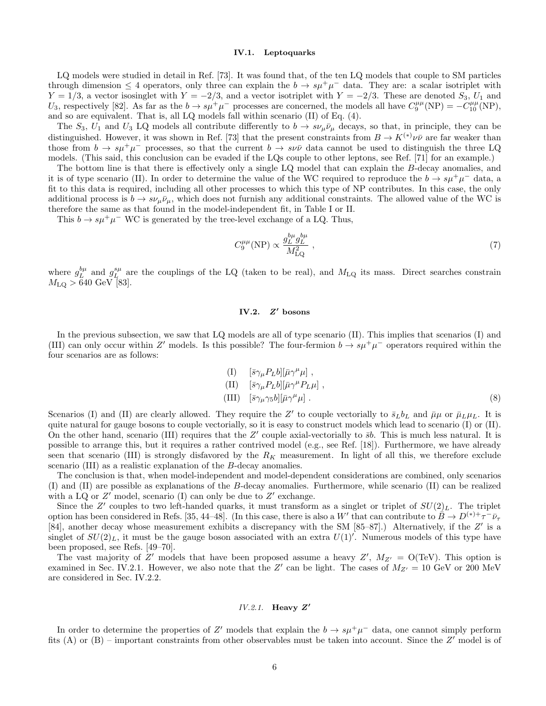#### IV.1. Leptoquarks

LQ models were studied in detail in Ref. [73]. It was found that, of the ten LQ models that couple to SM particles through dimension  $\leq 4$  operators, only three can explain the  $b \to s\mu^{+}\mu^{-}$  data. They are: a scalar isotriplet with  $Y = 1/3$ , a vector isosinglet with  $Y = -2/3$ , and a vector isotriplet with  $Y = -2/3$ . These are denoted  $S_3$ ,  $U_1$  and U<sub>3</sub>, respectively [82]. As far as the  $b \to s\mu^+\mu^-$  processes are concerned, the models all have  $C_9^{\mu\mu}(\text{NP}) = -\tilde{C}_{10}^{\mu\mu}(\text{NP})$ , and so are equivalent. That is, all LQ models fall within scenario (II) of Eq. (4).

The  $S_3$ ,  $U_1$  and  $U_3$  LQ models all contribute differently to  $b \to s\nu_\mu\bar{\nu}_\mu$  decays, so that, in principle, they can be distinguished. However, it was shown in Ref. [73] that the present constraints from  $B \to K^{(*)}\nu\bar{\nu}$  are far weaker than those from  $b \to s\mu^+\mu^-$  processes, so that the current  $b \to s\nu\bar{\nu}$  data cannot be used to distinguish the three LQ models. (This said, this conclusion can be evaded if the LQs couple to other leptons, see Ref. [71] for an example.)

The bottom line is that there is effectively only a single LQ model that can explain the B-decay anomalies, and it is of type scenario (II). In order to determine the value of the WC required to reproduce the  $b \to s\mu^+\mu^-$  data, a fit to this data is required, including all other processes to which this type of NP contributes. In this case, the only additional process is  $b \to s\nu_\mu\bar{\nu}_\mu$ , which does not furnish any additional constraints. The allowed value of the WC is therefore the same as that found in the model-independent fit, in Table I or II.

This  $b \to s\mu^+\mu^-$  WC is generated by the tree-level exchange of a LQ. Thus,

$$
C_9^{\mu\mu}(\text{NP}) \propto \frac{g_L^{b\mu} g_L^{b\mu}}{M_{\text{LQ}}^2} \,,\tag{7}
$$

where  $g_L^{b\mu}$  and  $g_L^{s\mu}$  are the couplings of the LQ (taken to be real), and  $M_{LQ}$  its mass. Direct searches constrain  $M_{\text{LQ}} > 640 \text{ GeV}$  [83].

#### $IV.2.$  $Z'$  bosons

In the previous subsection, we saw that LQ models are all of type scenario (II). This implies that scenarios (I) and (III) can only occur within Z' models. Is this possible? The four-fermion  $b \to s\mu^+\mu^-$  operators required within the four scenarios are as follows:

$$
\begin{array}{ll}\n\text{(I)} & [\bar{s}\gamma_{\mu}P_{L}b][\bar{\mu}\gamma^{\mu}\mu] \;, \\
\text{(II)} & [\bar{s}\gamma_{\mu}P_{L}b][\bar{\mu}\gamma^{\mu}P_{L}\mu] \;, \\
\text{(III)} & [\bar{s}\gamma_{\mu}\gamma_{5}b][\bar{\mu}\gamma^{\mu}\mu] \;. \n\end{array} \tag{8}
$$

Scenarios (I) and (II) are clearly allowed. They require the Z' to couple vectorially to  $\bar{s}_Lb_L$  and  $\bar{\mu}\mu$  or  $\bar{\mu}_L\mu_L$ . It is quite natural for gauge bosons to couple vectorially, so it is easy to construct models which lead to scenario (I) or (II). On the other hand, scenario (III) requires that the  $Z'$  couple axial-vectorially to  $\bar{s}b$ . This is much less natural. It is possible to arrange this, but it requires a rather contrived model (e.g., see Ref. [18]). Furthermore, we have already seen that scenario (III) is strongly disfavored by the  $R_K$  measurement. In light of all this, we therefore exclude scenario (III) as a realistic explanation of the B-decay anomalies.

The conclusion is that, when model-independent and model-dependent considerations are combined, only scenarios (I) and (II) are possible as explanations of the B-decay anomalies. Furthermore, while scenario (II) can be realized with a LQ or  $Z'$  model, scenario (I) can only be due to  $Z'$  exchange.

Since the Z' couples to two left-handed quarks, it must transform as a singlet or triplet of  $SU(2)_L$ . The triplet option has been considered in Refs. [35, 44–48]. (In this case, there is also a W' that can contribute to  $\tilde{B} \to D^{(*)+} \tau^- \bar{\nu}_{\tau}$ [84], another decay whose measurement exhibits a discrepancy with the SM [85-87].) Alternatively, if the Z' is a singlet of  $SU(2)_L$ , it must be the gauge boson associated with an extra  $U(1)'$ . Numerous models of this type have been proposed, see Refs. [49–70].

The vast majority of Z' models that have been proposed assume a heavy Z',  $M_{Z'} = O(TeV)$ . This option is examined in Sec. IV.2.1. However, we also note that the Z' can be light. The cases of  $M_{Z'} = 10 \text{ GeV}$  or 200 MeV are considered in Sec. IV.2.2.

### $IV.2.1.$  Heavy  $Z'$

In order to determine the properties of Z' models that explain the  $b \to s\mu^+\mu^-$  data, one cannot simply perform fits (A) or (B) – important constraints from other observables must be taken into account. Since the Z' model is of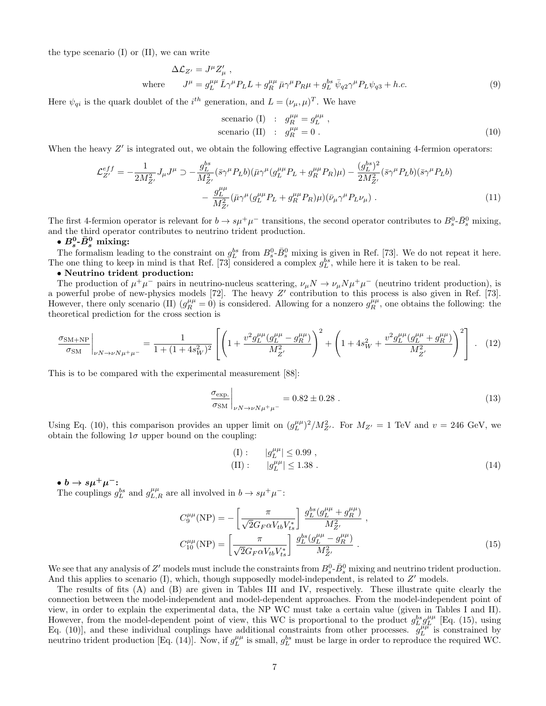the type scenario (I) or (II), we can write

$$
\Delta \mathcal{L}_{Z'} = J^{\mu} Z'_{\mu} ,
$$
  
where 
$$
J^{\mu} = g_L^{\mu \mu} \bar{L} \gamma^{\mu} P_L L + g_R^{\mu \mu} \bar{\mu} \gamma^{\mu} P_R \mu + g_L^{bs} \bar{\psi}_{q2} \gamma^{\mu} P_L \psi_{q3} + h.c.
$$
 (9)

Here  $\psi_{qi}$  is the quark doublet of the  $i^{th}$  generation, and  $L = (\nu_{\mu}, \mu)^{T}$ . We have

scenario (I) : 
$$
g_R^{\mu\mu} = g_L^{\mu\mu}
$$
,  
scenario (II) :  $g_R^{\mu\mu} = 0$ . (10)

When the heavy  $Z'$  is integrated out, we obtain the following effective Lagrangian containing 4-fermion operators:

$$
\mathcal{L}_{Z'}^{eff} = -\frac{1}{2M_{Z'}^2} J_{\mu} J^{\mu} \supset -\frac{g_L^{bs}}{M_{Z'}^2} (\bar{s} \gamma^{\mu} P_L b)(\bar{\mu} \gamma^{\mu} (g_L^{\mu \mu} P_L + g_R^{\mu \mu} P_R) \mu) - \frac{(g_L^{bs})^2}{2M_{Z'}^2} (\bar{s} \gamma^{\mu} P_L b)(\bar{s} \gamma^{\mu} P_L b) - \frac{g_L^{\mu \mu}}{M_{Z'}^2} (\bar{\mu} \gamma^{\mu} (g_L^{\mu \mu} P_L + g_R^{\mu \mu} P_R) \mu)(\bar{\nu}_{\mu} \gamma^{\mu} P_L \nu_{\mu}). \tag{11}
$$

The first 4-fermion operator is relevant for  $b \to s\mu^+\mu^-$  transitions, the second operator contributes to  $B_s^0$ - $\bar{B}_s^0$  mixing, and the third operator contributes to neutrino trident production.

•  $B_s^0$ - $\bar{B}_s^0$  mixing:

The formalism leading to the constraint on  $g_L^{bs}$  from  $B_s^0$ - $\bar{B}_s^0$  mixing is given in Ref. [73]. We do not repeat it here. The one thing to keep in mind is that Ref. [73] considered a complex  $g_L^{bs}$ , while here it is taken to be real.

#### • Neutrino trident production:

The production of  $\mu^+\mu^-$  pairs in neutrino-nucleus scattering,  $\nu_\mu N \to \nu_\mu N \mu^+\mu^-$  (neutrino trident production), is a powerful probe of new-physics models [72]. The heavy Z' contribution to this process is also given in Ref. [73]. However, there only scenario (II)  $(g_R^{\mu\mu} = 0)$  is considered. Allowing for a nonzero  $g_R^{\mu\mu}$ , one obtains the following: the theoretical prediction for the cross section is

$$
\frac{\sigma_{\text{SM+NP}}}{\sigma_{\text{SM}}}\bigg|_{\nu N \to \nu N \mu^+ \mu^-} = \frac{1}{1 + (1 + 4s_W^2)^2} \left[ \left( 1 + \frac{v^2 g_L^{\mu \mu} (g_L^{\mu \mu} - g_R^{\mu \mu})}{M_{Z'}^2} \right)^2 + \left( 1 + 4s_W^2 + \frac{v^2 g_L^{\mu \mu} (g_L^{\mu \mu} + g_R^{\mu \mu})}{M_{Z'}^2} \right)^2 \right] \ . \tag{12}
$$

This is to be compared with the experimental measurement [88]:

$$
\left. \frac{\sigma_{\text{exp.}}}{\sigma_{\text{SM}}} \right|_{\nu N \to \nu N \mu^+ \mu^-} = 0.82 \pm 0.28 \ . \tag{13}
$$

Using Eq. (10), this comparison provides an upper limit on  $(g_L^{\mu\mu})^2/M_{Z'}^2$ . For  $M_{Z'} = 1$  TeV and  $v = 246$  GeV, we obtain the following  $1\sigma$  upper bound on the coupling:

(I): 
$$
|g_L^{\mu\mu}| \le 0.99
$$
,  
(II):  $|g_L^{\mu\mu}| \le 1.38$ . (14)

 $\bullet$  b  $\rightarrow s\mu^{+}\mu^{-}$ :

The couplings  $g_L^{bs}$  and  $g_{L,R}^{\mu\mu}$  are all involved in  $b \to s\mu^+\mu^-$ :

$$
C_9^{\mu\mu}(\text{NP}) = -\left[\frac{\pi}{\sqrt{2}G_F\alpha V_{tb}V_{ts}^*}\right] \frac{g_L^{bs}(g_L^{\mu\mu} + g_R^{\mu\mu})}{M_{Z'}^2},
$$

$$
C_{10}^{\mu\mu}(\text{NP}) = \left[\frac{\pi}{\sqrt{2}G_F\alpha V_{tb}V_{ts}^*}\right] \frac{g_L^{bs}(g_L^{\mu\mu} - g_R^{\mu\mu})}{M_{Z'}^2}.
$$
(15)

We see that any analysis of Z' models must include the constraints from  $B_s^0$ - $\bar{B}_s^0$  mixing and neutrino trident production. And this applies to scenario  $(I)$ , which, though supposedly model-independent, is related to  $Z'$  models.

The results of fits (A) and (B) are given in Tables III and IV, respectively. These illustrate quite clearly the connection between the model-independent and model-dependent approaches. From the model-independent point of view, in order to explain the experimental data, the NP WC must take a certain value (given in Tables I and II). However, from the model-dependent point of view, this WC is proportional to the product  $g_L^{bs} g_L^{\mu\mu}$  [Eq. (15), using Eq. (10)], and these individual couplings have additional constraints from other processes.  $g_L^{\mu\mu}$  is constrained by neutrino trident production [Eq. (14)]. Now, if  $g_L^{\mu\mu}$  is small,  $g_L^{bs}$  must be large in order to reproduce the required WC.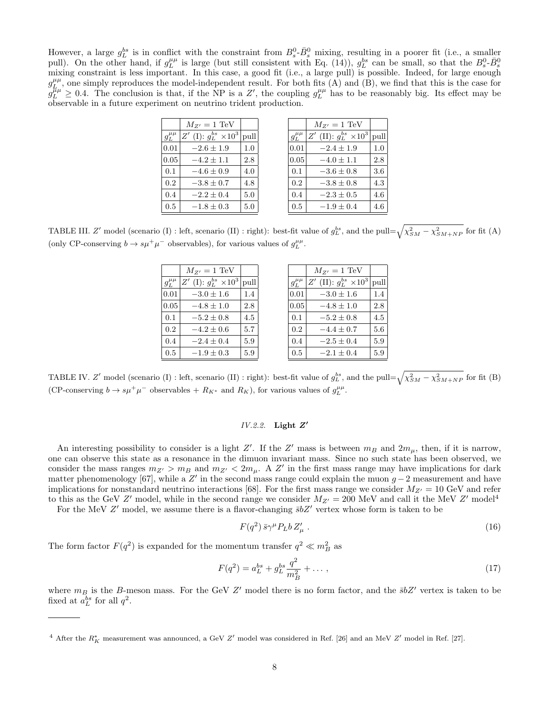However, a large  $g_L^{bs}$  is in conflict with the constraint from  $B_s^0$ - $\bar{B}_s^0$  mixing, resulting in a poorer fit (i.e., a smaller pull). On the other hand, if  $g_L^{\mu\mu}$  is large (but still consistent with Eq. (14)),  $g_L^{bs}$  can be small, so that the  $B_s^0$ - $\bar{B}_s^0$ mixing constraint is less important. In this case, a good fit (i.e., a large pull) is possible. Indeed, for large enough  $g_{L}^{\mu\mu}$ , one simply reproduces the model-independent result. For both fits (A) and (B), we find that this is the case for  $g_L^{\mu\mu} \geq 0.4$ . The conclusion is that, if the NP is a Z', the coupling  $g_L^{\mu\mu}$  has to be reasonably big. Its effect may be observable in a future experiment on neutrino trident production.

|                | $M_{Z'}=1~{\rm TeV}$                  |         |                | $M_{Z'}=1~{\rm TeV}$                       |
|----------------|---------------------------------------|---------|----------------|--------------------------------------------|
| $g_L^{\mu\mu}$ | $Z'$ (I): $g_L^{bs} \times 10^3$ pull |         | $g_L^{\mu\mu}$ | $Z'$ (II): $g_L^{bs} \times 10^3$<br> pull |
| 0.01           | $-2.6 \pm 1.9$                        | $1.0\,$ | 0.01           | $-2.4 \pm 1.9$                             |
| 0.05           | $-4.2 \pm 1.1$                        | 2.8     | 0.05           | $-4.0 \pm 1.1$                             |
| 0.1            | $-4.6 \pm 0.9$                        | 4.0     | 0.1            | $-3.6 \pm 0.8$                             |
| 0.2            | $-3.8 \pm 0.7$                        | 4.8     | 0.2            | $-3.8 \pm 0.8$                             |
| 0.4            | $-2.2 \pm 0.4$                        | 5.0     | 0.4            | $-2.3 \pm 0.5$                             |
| 0.5            | $-1.8 \pm 0.3$                        | 5.0     | 0.5            | $-1.9 \pm 0.4$                             |

TABLE III. Z' model (scenario (I) : left, scenario (II) : right): best-fit value of  $g_L^{bs}$ , and the pull= $\sqrt{\chi_{SM}^2 - \chi_{SM+NP}^2}$  for fit (A) (only CP-conserving  $b \to s\mu^+\mu^-$  observables), for various values of  $g_L^{\mu\mu}$ .

|                | $M_{Z'}=1~{\rm TeV}$           |         |                | $M_{Z'}=1~{\rm TeV}$              |      |
|----------------|--------------------------------|---------|----------------|-----------------------------------|------|
| $g_L^{\mu\mu}$ | Z' (I): $g_L^{bs} \times 10^3$ | pull    | $g_L^{\mu\mu}$ | $Z'$ (II): $g_L^{bs} \times 10^3$ | pull |
| 0.01           | $-3.0 \pm 1.6$                 | 1.4     | 0.01           | $-3.0 \pm 1.6$                    | 1.4  |
| 0.05           | $-4.8 \pm 1.0$                 | 2.8     | 0.05           | $-4.8 \pm 1.0$                    | 2.8  |
| 0.1            | $-5.2 \pm 0.8$                 | 4.5     | 0.1            | $-5.2 \pm 0.8$                    | 4.5  |
| 0.2            | $-4.2 \pm 0.6$                 | 5.7     | 0.2            | $-4.4 \pm 0.7$                    | 5.6  |
| 0.4            | $-2.4 \pm 0.4$                 | 5.9     | 0.4            | $-2.5 \pm 0.4$                    | 5.9  |
| 0.5            | $-1.9 \pm 0.3$                 | $5.9\,$ | 0.5            | $-2.1 \pm 0.4$                    | 5.9  |

TABLE IV. Z' model (scenario (I) : left, scenario (II) : right): best-fit value of  $g_L^{bs}$ , and the pull= $\sqrt{\chi_{SM}^2 - \chi_{SM+NP}^2}$  for fit (B) (CP-conserving  $b \to s\mu^+\mu^-$  observables +  $R_{K^*}$  and  $R_K$ ), for various values of  $g_L^{\mu\mu}$ .

# $IV.2.2.$  Light  $Z'$

An interesting possibility to consider is a light Z'. If the Z' mass is between  $m_B$  and  $2m_\mu$ , then, if it is narrow, one can observe this state as a resonance in the dimuon invariant mass. Since no such state has been observed, we consider the mass ranges  $m_{Z'} > m_B$  and  $m_{Z'} < 2m_\mu$ . A Z' in the first mass range may have implications for dark matter phenomenology [67], while a  $Z'$  in the second mass range could explain the muon  $g-2$  measurement and have implications for nonstandard neutrino interactions [68]. For the first mass range we consider  $M_{Z'} = 10$  GeV and refer to this as the GeV Z' model, while in the second range we consider  $M_{Z'} = 200$  MeV and call it the MeV Z' model<sup>4</sup>

For the MeV  $Z'$  model, we assume there is a flavor-changing  $\bar{s}bZ'$  vertex whose form is taken to be

$$
F(q^2)\bar{s}\gamma^\mu P_L b Z'_\mu\ . \tag{16}
$$

The form factor  $F(q^2)$  is expanded for the momentum transfer  $q^2 \ll m_B^2$  as

$$
F(q^2) = a_L^{bs} + g_L^{bs} \frac{q^2}{m_B^2} + \dots, \qquad (17)
$$

where  $m_B$  is the B-meson mass. For the GeV Z' model there is no form factor, and the  $\bar{s}bZ'$  vertex is taken to be fixed at  $a_L^{bs}$  for all  $q^2$ .

<sup>&</sup>lt;sup>4</sup> After the  $R_K^*$  measurement was announced, a GeV  $Z'$  model was considered in Ref. [26] and an MeV  $Z'$  model in Ref. [27].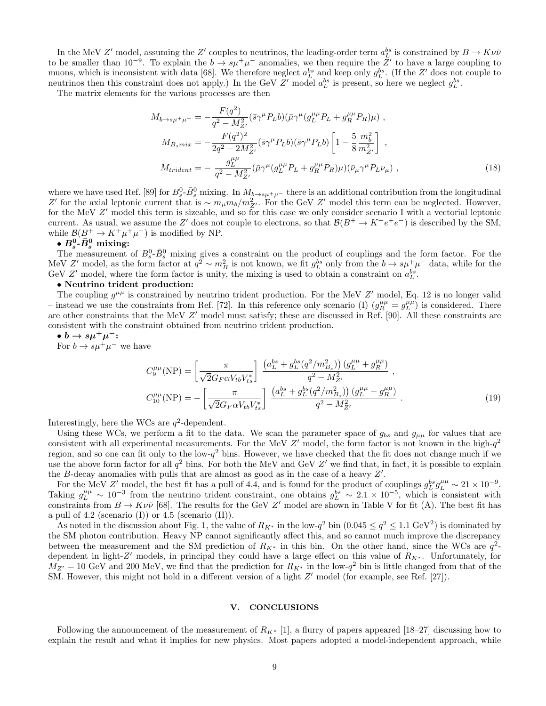In the MeV Z' model, assuming the Z' couples to neutrinos, the leading-order term  $a_L^{bs}$  is constrained by  $B \to K \nu \bar{\nu}$ to be smaller than 10<sup>-9</sup>. To explain the  $b \to s\mu^+\mu^-$  anomalies, we then require the  $Z'$  to have a large coupling to muons, which is inconsistent with data [68]. We therefore neglect  $a_L^{bs}$  and keep only  $g_L^{bs}$ . (If the Z' does not couple to neutrinos then this constraint does not apply.) In the GeV Z' model  $a_L^{bs}$  is present, so here we neglect  $g_L^{bs}$ .

The matrix elements for the various processes are then

$$
M_{b \to s\mu^{+}\mu^{-}} = -\frac{F(q^{2})}{q^{2} - M_{Z'}^{2}} (\bar{s}\gamma^{\mu}P_{L}b)(\bar{\mu}\gamma^{\mu}(g_{L}^{\mu\mu}P_{L} + g_{R}^{\mu\mu}P_{R})\mu) ,
$$
  
\n
$$
M_{B_{s}mix} = -\frac{F(q^{2})^{2}}{2q^{2} - 2M_{Z'}^{2}} (\bar{s}\gamma^{\mu}P_{L}b)(\bar{s}\gamma^{\mu}P_{L}b) \left[1 - \frac{5}{8} \frac{m_{b}^{2}}{m_{Z'}^{2}}\right] ,
$$
  
\n
$$
M_{trident} = -\frac{g_{L}^{\mu\mu}}{q^{2} - M_{Z'}^{2}} (\bar{\mu}\gamma^{\mu}(g_{L}^{\mu\mu}P_{L} + g_{R}^{\mu\mu}P_{R})\mu)(\bar{\nu}_{\mu}\gamma^{\mu}P_{L}\nu_{\mu}) ,
$$
\n(18)

where we have used Ref. [89] for  $B_s^0$ - $\bar{B}_s^0$  mixing. In  $M_{b\to s\mu^+\mu^-}$  there is an additional contribution from the longitudinal Z' for the axial leptonic current that is ~  $m_{\mu}m_b/m_{Z'}^2$ . For the GeV Z' model this term can be neglected. However, for the MeV Z' model this term is sizeable, and so for this case we only consider scenario I with a vectorial leptonic current. As usual, we assume the Z' does not couple to electrons, so that  $\mathcal{B}(B^+ \to K^+e^+e^-)$  is described by the SM, while  $\mathcal{B}(B^+ \to K^+\mu^+\mu^-)$  is modified by NP.

 $\bullet$   $B_s^0$ - $\bar{B}_s^0$  mixing:

The measurement of  $B_s^0$ - $\bar{B}_s^0$  mixing gives a constraint on the product of couplings and the form factor. For the MeV Z' model, as the form factor at  $q^2 \sim m_B^2$  is not known, we fit  $g_L^{bs}$  only from the  $b \to s\mu^+\mu^-$  data, while for the GeV Z' model, where the form factor is unity, the mixing is used to obtain a constraint on  $a_L^{bs}$ .

#### • Neutrino trident production:

The coupling  $g^{\mu\mu}$  is constrained by neutrino trident production. For the MeV Z' model, Eq. 12 is no longer valid – instead we use the constraints from Ref. [72]. In this reference only scenario (I)  $(g_R^{\mu\mu} = g_L^{\mu\mu})$  is considered. There are other constraints that the MeV Z' model must satisfy; these are discussed in Ref. [90]. All these constraints are consistent with the constraint obtained from neutrino trident production.

$$
\bullet b \rightarrow s\mu^+\mu^-:
$$

For  $b \to s\mu^+\mu^-$  we have

$$
C_9^{\mu\mu}(\text{NP}) = \left[\frac{\pi}{\sqrt{2}G_F\alpha V_{tb}V_{ts}^*}\right] \frac{\left(a_L^{bs} + g_L^{bs}(q^2/m_{B_s}^2)\right)(g_L^{\mu\mu} + g_R^{\mu\mu})}{q^2 - M_{Z'}^2},
$$
  
\n
$$
C_{10}^{\mu\mu}(\text{NP}) = -\left[\frac{\pi}{\sqrt{2}G_F\alpha V_{tb}V_{ts}^*}\right] \frac{\left(a_L^{bs} + g_L^{bs}(q^2/m_{B_s}^2)\right)(g_L^{\mu\mu} - g_R^{\mu\mu})}{q^2 - M_{Z'}^2}.
$$
\n(19)

Interestingly, here the WCs are  $q^2$ -dependent.

Using these WCs, we perform a fit to the data. We scan the parameter space of  $g_{bs}$  and  $g_{\mu\mu}$  for values that are consistent with all experimental measurements. For the MeV  $Z'$  model, the form factor is not known in the high- $q^2$ region, and so one can fit only to the low- $q^2$  bins. However, we have checked that the fit does not change much if we use the above form factor for all  $q^2$  bins. For both the MeV and GeV Z' we find that, in fact, it is possible to explain the  $B$ -decay anomalies with pulls that are almost as good as in the case of a heavy  $Z'$ .

For the MeV Z' model, the best fit has a pull of 4.4, and is found for the product of couplings  $g_L^{bs}g_L^{\mu\mu} \sim 21 \times 10^{-9}$ . Taking  $g_L^{\mu\mu} \sim 10^{-3}$  from the neutrino trident constraint, one obtains  $g_L^{bs} \sim 2.1 \times 10^{-5}$ , which is consistent with constraints from  $B \to K\nu\bar{\nu}$  [68]. The results for the GeV Z' model are shown in Table V for fit (A). The best fit has a pull of 4.2 (scenario  $(I)$ ) or 4.5 (scenario  $(II)$ ).

As noted in the discussion about Fig. 1, the value of  $R_{K^*}$  in the low- $q^2$  bin  $(0.045 \le q^2 \le 1.1 \text{ GeV}^2)$  is dominated by the SM photon contribution. Heavy NP cannot significantly affect this, and so cannot much improve the discrepancy between the measurement and the SM prediction of  $R_{K^*}$  in this bin. On the other hand, since the WCs are  $q^2$ dependent in light-Z' models, in principal they could have a large effect on this value of  $R_{K^*}$ . Unfortunately, for  $M_{Z'} = 10$  GeV and 200 MeV, we find that the prediction for  $R_{K^*}$  in the low- $q^2$  bin is little changed from that of the SM. However, this might not hold in a different version of a light  $Z'$  model (for example, see Ref. [27]).

#### V. CONCLUSIONS

Following the announcement of the measurement of  $R_{K^*}$  [1], a flurry of papers appeared [18–27] discussing how to explain the result and what it implies for new physics. Most papers adopted a model-independent approach, while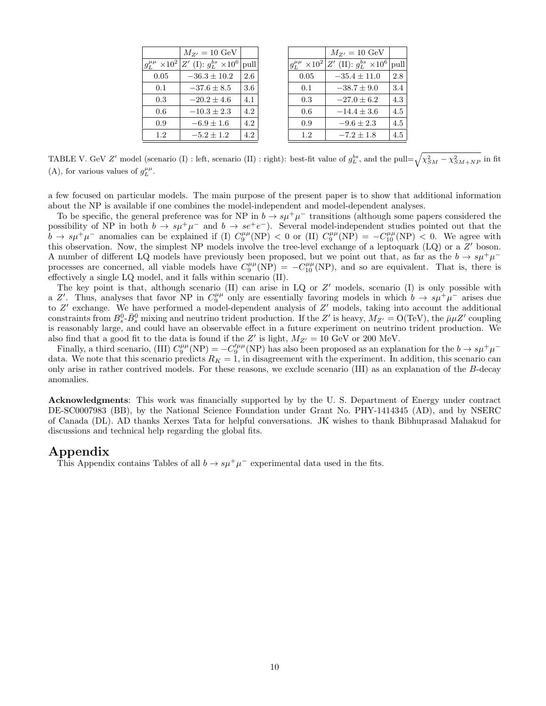| $M_{Z'}=10~{\rm GeV}$            |      |
|----------------------------------|------|
| $Z'$ (I): $g_L^{bs} \times 10^6$ | pull |
| $-36.3 \pm 10.2$                 | 2.6  |
| $-37.6 + 8.5$                    | 3.6  |
| $-20.2 \pm 4.6$                  | 4.1  |
| $-10.3 + 2.3$                    | 4.2  |
| $-6.9\pm1.6$                     | 4.2  |
| $-5.2 + 1.2$                     | 4.2  |
|                                  |      |

|                          | $M_{Z'}=10~\mathrm{GeV}$          |      |
|--------------------------|-----------------------------------|------|
| $\times 10^{2}$<br>$g_I$ | $Z'$ (II): $g_L^{bs} \times 10^6$ | pull |
| 0.05                     | $-35.4\pm11.0$                    | 2.8  |
| 0.1                      | $-38.7 \pm 9.0$                   | 3.4  |
| 0.3                      | $-27.0 + 6.2$                     | 4.3  |
| 0.6                      | $-14.4 + 3.6$                     | 4.5  |
| 0.9                      | $-9.6 \pm 2.3$                    | 4.5  |
| 1.2                      | $-7.2\pm1.8$                      | 4.5  |
|                          |                                   |      |

TABLE V. GeV Z' model (scenario (I) : left, scenario (II) : right): best-fit value of  $g_L^{bs}$ , and the pull= $\sqrt{\chi_{SM}^2 - \chi_{SM+NP}^2}$  in fit (A), for various values of  $g_L^{\mu\mu}$ .

a few focused on particular models. The main purpose of the present paper is to show that additional information about the NP is available if one combines the model-independent and model-dependent analyses.

To be specific, the general preference was for NP in  $b \to s\mu^+\mu^-$  transitions (although some papers considered the possibility of NP in both  $b \to s\mu^+\mu^-$  and  $b \to s e^+e^-$ ). Several model-independent studies pointed out that the  $\bar{b} \to s\mu^+\mu^-$  anomalies can be explained if (I)  $C_9^{\mu\mu}(NP) < 0$  or (II)  $C_9^{\mu\mu}(NP) = -C_{10}^{\mu\mu}(NP) < 0$ . We agree with this observation. Now, the simplest NP models involve the tree-level exchange of a leptoquark (LQ) or a Z' boson. A number of different LQ models have previously been proposed, but we point out that, as far as the  $b \to s\mu^+\mu^$ processes are concerned, all viable models have  $C_9^{\mu\mu}(\text{NP}) = -C_{10}^{\mu\mu}(\text{NP})$ , and so are equivalent. That is, there is effectively a single LQ model, and it falls within scenario (II).

The key point is that, although scenario  $(II)$  can arise in  $LQ$  or  $Z'$  models, scenario  $(I)$  is only possible with a Z'. Thus, analyses that favor NP in  $C_9^{\mu\mu}$  only are essentially favoring models in which  $b \to s\mu^+\mu^-$  arises due to  $Z'$  exchange. We have performed a model-dependent analysis of  $Z'$  models, taking into account the additional constraints from  $B_s^0$ - $\bar{B}_s^0$  mixing and neutrino trident production. If the Z' is heavy,  $M_{Z'} = O(TeV)$ , the  $\bar{\mu}\mu Z'$  coupling is reasonably large, and could have an observable effect in a future experiment on neutrino trident production. We also find that a good fit to the data is found if the Z' is light,  $M_{Z'} = 10$  GeV or 200 MeV.

Finally, a third scenario, (III)  $C_9^{\mu\mu}(\text{NP}) = -C_9^{\prime\mu\mu}(\text{NP})$  has also been proposed as an explanation for the  $b \to s\mu^+\mu^$ data. We note that this scenario predicts  $R_K = 1$ , in disagreement with the experiment. In addition, this scenario can only arise in rather contrived models. For these reasons, we exclude scenario (III) as an explanation of the B-decay anomalies.

Acknowledgments: This work was financially supported by by the U. S. Department of Energy under contract DE-SC0007983 (BB), by the National Science Foundation under Grant No. PHY-1414345 (AD), and by NSERC of Canada (DL). AD thanks Xerxes Tata for helpful conversations. JK wishes to thank Bibhuprasad Mahakud for discussions and technical help regarding the global fits.

# Appendix

This Appendix contains Tables of all  $b \to s\mu^+\mu^-$  experimental data used in the fits.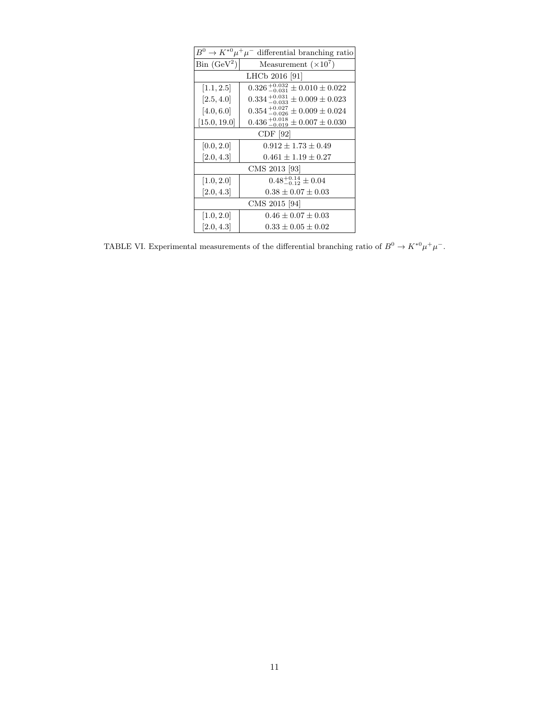| $B^0 \to K^{*0} \mu^+ \mu^-$ differential branching ratio |                                               |  |  |
|-----------------------------------------------------------|-----------------------------------------------|--|--|
| $\operatorname{Bin}$ (GeV <sup>2</sup> )                  | Measurement $(\times 10^7)$                   |  |  |
|                                                           | LHCb 2016 [91]                                |  |  |
| [1.1, 2.5]                                                | $0.326_{-0.031}^{+0.032} \pm 0.010 \pm 0.022$ |  |  |
| [2.5, 4.0]                                                | $0.334_{-0.033}^{+0.031} \pm 0.009 \pm 0.023$ |  |  |
| [4.0, 6.0]                                                | $0.354_{-0.026}^{+0.027} \pm 0.009 \pm 0.024$ |  |  |
| [15.0, 19.0]                                              | $0.436_{-0.019}^{+0.018} \pm 0.007 \pm 0.030$ |  |  |
| CDF [92]                                                  |                                               |  |  |
| [0.0, 2.0]                                                | $0.912 \pm 1.73 \pm 0.49$                     |  |  |
| [2.0, 4.3]                                                | $0.461 \pm 1.19 \pm 0.27$                     |  |  |
|                                                           | CMS 2013 [93]                                 |  |  |
| [1.0, 2.0]                                                | $0.48^{+0.14}_{-0.12} \pm 0.04$               |  |  |
| [2.0, 4.3]                                                | $0.38 \pm 0.07 \pm 0.03$                      |  |  |
| CMS 2015 [94]                                             |                                               |  |  |
| [1.0, 2.0]                                                | $0.46 \pm 0.07 \pm 0.03$                      |  |  |
| [2.0, 4.3]                                                | $0.33 \pm 0.05 \pm 0.02$                      |  |  |

TABLE VI. Experimental measurements of the differential branching ratio of  $B^0 \to K^{*0} \mu^+ \mu^-$ .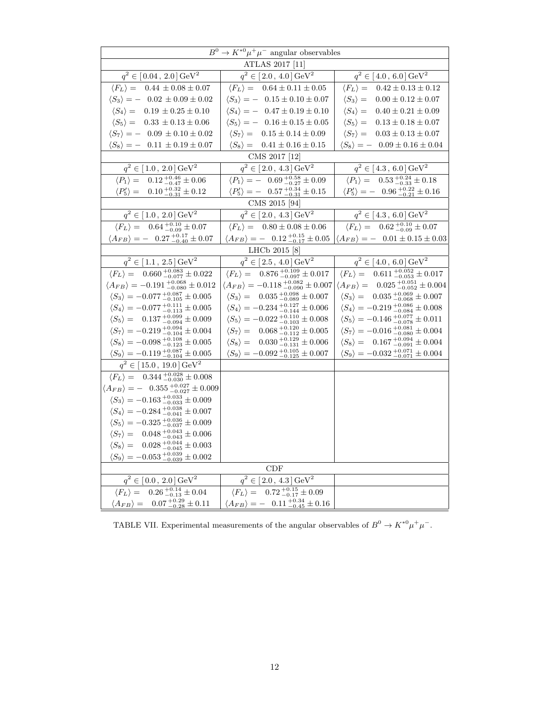| $B^0 \to K^{*0} \mu^+ \mu^-$ angular observables                               |                                                                           |                                                                           |  |  |  |
|--------------------------------------------------------------------------------|---------------------------------------------------------------------------|---------------------------------------------------------------------------|--|--|--|
| ATLAS 2017 [11]                                                                |                                                                           |                                                                           |  |  |  |
| $q^2 \in [0.04, 2.0] \,\text{GeV}^2$                                           | $q^2 \in [2.0, 4.0] \,\text{GeV}^2$                                       | $q^2 \in [4.0, 6.0] \,\text{GeV}^2$                                       |  |  |  |
| $\langle F_L \rangle = 0.44 \pm 0.08 \pm 0.07$                                 | $\langle F_L \rangle = 0.64 \pm 0.11 \pm 0.05$                            | $\langle F_L \rangle = 0.42 \pm 0.13 \pm 0.12$                            |  |  |  |
| $\langle S_3 \rangle = -0.02 \pm 0.09 \pm 0.02$                                | $\langle S_3 \rangle = -0.15 \pm 0.10 \pm 0.07$                           | $\langle S_3 \rangle =$<br>$0.00 \pm 0.12 \pm 0.07$                       |  |  |  |
| $\langle S_4 \rangle = 0.19 \pm 0.25 \pm 0.10$                                 | $\langle S_4 \rangle = -0.47 \pm 0.19 \pm 0.10$                           | $\langle S_4 \rangle =$<br>$0.40 \pm 0.21 \pm 0.09$                       |  |  |  |
| $\langle S_5 \rangle = 0.33 \pm 0.13 \pm 0.06$                                 | $\langle S_5 \rangle = -0.16 \pm 0.15 \pm 0.05$                           | $\langle S_5 \rangle =$<br>$0.13 \pm 0.18 \pm 0.07$                       |  |  |  |
| $\langle S_7 \rangle = -0.09 \pm 0.10 \pm 0.02$                                | $\langle S_7 \rangle = 0.15 \pm 0.14 \pm 0.09$                            | $\langle S_7 \rangle = 0.03 \pm 0.13 \pm 0.07$                            |  |  |  |
| $\langle S_8 \rangle = -0.11 \pm 0.19 \pm 0.07$                                | $\langle S_8 \rangle = 0.41 \pm 0.16 \pm 0.15$                            | $\langle S_8 \rangle = -0.09 \pm 0.16 \pm 0.04$                           |  |  |  |
|                                                                                | CMS 2017 [12]                                                             |                                                                           |  |  |  |
| $q^2 \in [1.0, 2.0] \,\text{GeV}^2$                                            | $q^2 \in [2.0, 4.3] \,\text{GeV}^2$                                       | $q^2 \in [4.3, 6.0] \,\text{GeV}^2$                                       |  |  |  |
| $\langle P_1 \rangle = 0.12^{+0.46}_{-0.47} \pm 0.06$                          | $\langle P_1 \rangle = -$ 0.69 $^{+0.58}_{-0.27} \pm 0.09$                | $\langle P_1 \rangle = 0.53_{-0.33}^{+0.24} \pm 0.18$                     |  |  |  |
| $\langle P_5' \rangle = 0.10^{+0.32}_{-0.31} \pm 0.12$                         | $\langle P'_5 \rangle = -$ 0.57 $^{+0.34}_{-0.31} \pm 0.15$               | $\langle P_5' \rangle = -$ 0.96 $^{+0.22}_{-0.21} \pm 0.16$               |  |  |  |
|                                                                                | CMS 2015 [94]                                                             |                                                                           |  |  |  |
| $q^2 \in [1.0, 2.0] \,\text{GeV}^2$                                            | $q^2 \in [2.0, 4.3] \,\text{GeV}^2$                                       | $q^2 \in [4.3, 6.0] \,\text{GeV}^2$                                       |  |  |  |
| $\langle F_L \rangle = 0.64^{+0.10}_{-0.09} \pm 0.07$                          | $\langle F_L \rangle = 0.80 \pm 0.08 \pm 0.06$                            | $\langle F_L \rangle = 0.62^{+0.10}_{-0.09} \pm 0.07$                     |  |  |  |
| $\langle A_{FB} \rangle = -0.27^{+0.17}_{-0.40} \pm 0.07$                      | $\langle A_{FB} \rangle = -$ 0.12 $^{+0.15}_{-0.17} \pm 0.05$             | $\langle A_{FB} \rangle = -0.01 \pm 0.15 \pm 0.03$                        |  |  |  |
|                                                                                | LHCb 2015 [8]                                                             |                                                                           |  |  |  |
| $q^2 \in [1.1, 2.5] \,\text{GeV}^2$                                            | $q^2 \in [2.5, 4.0] \,\text{GeV}^2$                                       | $q^2 \in [4.0, 6.0] \,\text{GeV}^2$                                       |  |  |  |
| $\overline{\langle F_L \rangle} = 0.660^{+0.083}_{-0.077} \pm 0.022$           | $\langle F_L \rangle = 0.876_{-0.097}^{+0.109} \pm 0.017$                 | $\langle F_L \rangle = 0.611^{+0.052}_{-0.053} \pm 0.017$                 |  |  |  |
| $\langle A_{FB} \rangle = -0.191^{\ +0.068}_{\ -0.080}\pm 0.012$               | $\langle A_{FB} \rangle = -0.118^{\ +0.082}_{\ -0.090} \pm 0.007$         | $\langle A_{FB} \rangle = 0.025^{+0.051}_{-0.052} \pm 0.004$              |  |  |  |
| $\langle S_3 \rangle = -0.077 {+0.087 \atop -0.105} \pm 0.005$                 | $\langle S_3 \rangle = 0.035_{-0.089}^{+0.098} \pm 0.007$                 | $\langle S_3 \rangle = \phantom{-} 0.035^{\,+0.069}_{\,-0.068} \pm 0.007$ |  |  |  |
| $\langle S_4 \rangle = -0.077 {+0.111 \atop -0.113} \pm 0.005$                 | $\langle S_4 \rangle = -0.234 {+0.127 \atop -0.144} \pm 0.006$            | $\langle S_4 \rangle = -0.219^{\ +0.086}_{\ -0.084} \pm 0.008$            |  |  |  |
| $\langle S_5 \rangle = \phantom{+} 0.137^{\,+0.099}_{\,-0.094} \pm 0.009$      | $\langle S_5 \rangle = -0.022 {+0.110\atop -0.103} \pm 0.008$             | $\langle S_5 \rangle = -0.146 \, {}^{+0.077}_{-0.078} \pm 0.011$          |  |  |  |
| $\langle S_7 \rangle = -0.219^{\ +0.094}_{\ -0.104} \pm 0.004$                 | $\langle S_7 \rangle = \phantom{-} 0.068^{\,+0.120}_{\,-0.112} \pm 0.005$ | $\langle S_7 \rangle = -0.016_{-0.080}^{+0.081} \pm 0.004$                |  |  |  |
| $\langle S_8 \rangle = -0.098^{\ +0.108}_{\ -0.123} \pm 0.005$                 | $\langle S_8 \rangle = \phantom{-} 0.030^{\,+0.129}_{\,-0.131} \pm 0.006$ | $\langle S_8 \rangle = 0.167 {+0.094 \atop -0.091} \pm 0.004$             |  |  |  |
| $\langle S_9 \rangle = -0.119^{\ +0.087}_{\ -0.104} \pm 0.005$                 | $\langle S_9 \rangle = -0.092_{-0.125}^{+0.105} \pm 0.007$                | $\langle S_9 \rangle = -0.032^{\ +0.071}_{\ -0.071} \pm 0.004$            |  |  |  |
| $q^2 \in [15.0, 19.0] \,\text{GeV}^2$                                          |                                                                           |                                                                           |  |  |  |
| $\langle F_L \rangle = 0.344^{+0.028}_{-0.030} \pm 0.008$                      |                                                                           |                                                                           |  |  |  |
| $\langle A_{FB} \rangle = - \phantom{+} 0.355^{\,+0.027}_{\,-0.027} \pm 0.009$ |                                                                           |                                                                           |  |  |  |
| $\langle S_3 \rangle = -0.163 {+0.033 \atop -0.033} \pm 0.009$                 |                                                                           |                                                                           |  |  |  |
| $\langle S_4 \rangle = -0.284^{\ +0.038}_{\ -0.041} \pm 0.007$                 |                                                                           |                                                                           |  |  |  |
| $\langle S_5 \rangle = -0.325 {+0.036 \atop -0.037} \pm 0.009$                 |                                                                           |                                                                           |  |  |  |
| $\langle S_7 \rangle = \phantom{-}0.048^{\,+0.043}_{\,-0.043} \pm 0.006$       |                                                                           |                                                                           |  |  |  |
| $\langle S_8 \rangle = \phantom{-}0.028^{\,+0.044}_{\,-0.045}\pm 0.003$        |                                                                           |                                                                           |  |  |  |
| $\langle S_9 \rangle = -0.053 {+0.039 \atop -0.039} \pm 0.002$                 |                                                                           |                                                                           |  |  |  |
|                                                                                | CDF                                                                       |                                                                           |  |  |  |
| $q^2 \in [0.0, 2.0]$ GeV <sup>2</sup>                                          | $q^2 \in [2.0, 4.3] \,\text{GeV}^2$                                       |                                                                           |  |  |  |
| $\langle F_L \rangle = \phantom{-}0.26^{\,+0.14}_{\,-0.13} \pm 0.04$           | $\langle F_L \rangle = \phantom{-}0.72 ^{+0.15}_{-0.17} \pm 0.09$         |                                                                           |  |  |  |
| $\langle A_{FB} \rangle = 0.07_{-0.28}^{+0.29} \pm 0.11$                       | $\langle A_{FB} \rangle = -$ 0.11 $^{+0.34}_{-0.45} \pm 0.16$             |                                                                           |  |  |  |

TABLE VII. Experimental measurements of the angular observables of  $B^0 \to K^{*0} \mu^+ \mu^-$ .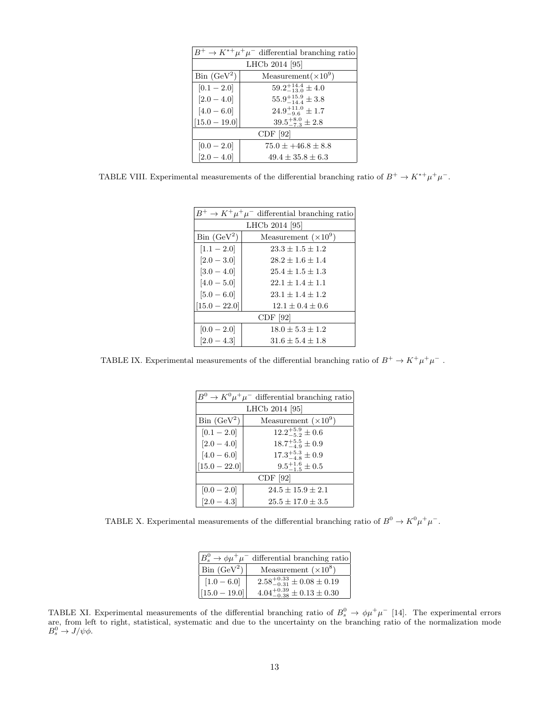| $B^+ \to K^{*+} \mu^+ \mu^-$ differential branching ratio |                               |  |  |
|-----------------------------------------------------------|-------------------------------|--|--|
|                                                           | LHCb 2014 [95]                |  |  |
| $\operatorname{Bin}$ (GeV <sup>2</sup> )                  | Measurement $(\times 10^9)$   |  |  |
| $[0.1 - 2.0]$                                             | $59.2^{+14.4}_{-13.0}\pm 4.0$ |  |  |
| $[2.0 - 4.0]$                                             | $55.9^{+15.9}_{-14.4}\pm3.8$  |  |  |
| $[4.0 - 6.0]$                                             | $24.9^{+11.0}_{-9.6}\pm 1.7$  |  |  |
| $[15.0 - 19.0]$                                           | $39.5^{+8.0}_{-7.3}\pm2.8$    |  |  |
| CDF [92]                                                  |                               |  |  |
| $[0.0 - 2.0]$                                             | $75.0 \pm +46.8 \pm 8.8$      |  |  |
| $[2.0 - 4.0]$                                             | $49.4 + 35.8 + 6.3$           |  |  |

TABLE VIII. Experimental measurements of the differential branching ratio of  $B^+ \to K^{*+} \mu^+ \mu^-$ .

| $B^+ \to K^+ \mu^+ \mu^-$ differential branching ratio |                             |  |  |  |  |
|--------------------------------------------------------|-----------------------------|--|--|--|--|
|                                                        | LHCb 2014 [95]              |  |  |  |  |
| $\operatorname{Bin}$ $(\operatorname{GeV}^2)$          | Measurement $(\times 10^9)$ |  |  |  |  |
| $[1.1 - 2.0]$                                          | $23.3 + 1.5 + 1.2$          |  |  |  |  |
| $[2.0 - 3.0]$                                          | $28.2 + 1.6 + 1.4$          |  |  |  |  |
| $[3.0 - 4.0]$                                          | $25.4 + 1.5 + 1.3$          |  |  |  |  |
| $[4.0 - 5.0]$                                          | $22.1 + 1.4 + 1.1$          |  |  |  |  |
| $[5.0 - 6.0]$                                          | $23.1 + 1.4 + 1.2$          |  |  |  |  |
| $[15.0 - 22.0]$                                        | $12.1 + 0.4 + 0.6$          |  |  |  |  |
| CDF [92]                                               |                             |  |  |  |  |
| $[0.0 - 2.0]$                                          | $18.0 + 5.3 + 1.2$          |  |  |  |  |
| $[2.0 - 4.3]$                                          | $31.6 \pm 5.4 \pm 1.8$      |  |  |  |  |

TABLE IX. Experimental measurements of the differential branching ratio of  $B^+ \to K^+ \mu^+ \mu^-$ .

| $B^0 \to K^0 \mu^+ \mu^-$ differential branching ratio |                              |  |  |  |  |
|--------------------------------------------------------|------------------------------|--|--|--|--|
|                                                        | LHCb 2014 [95]               |  |  |  |  |
| $\operatorname{Bin}$ (GeV <sup>2</sup> )               | Measurement $(\times 10^9)$  |  |  |  |  |
| $[0.1 - 2.0]$                                          | $12.2^{+5.9}_{-5.2}\pm 0.6$  |  |  |  |  |
| $[2.0 - 4.0]$                                          | $18.7^{+5.5}_{-4.9} \pm 0.9$ |  |  |  |  |
| $17.3^{+5.3}_{-4.8}\pm0.9$<br>$[4.0 - 6.0]$            |                              |  |  |  |  |
| $[15.0 - 22.0]$                                        | $9.5^{+1.6}_{-1.5} \pm 0.5$  |  |  |  |  |
| CDF [92]                                               |                              |  |  |  |  |
| $[0.0 - 2.0]$                                          | $24.5 + 15.9 + 2.1$          |  |  |  |  |
| $[2.0 - 4.3]$                                          | $25.5 + 17.0 + 3.5$          |  |  |  |  |

TABLE X. Experimental measurements of the differential branching ratio of  $B^0 \to K^0 \mu^+ \mu^-$ .

| $ B_s^0 \to \phi \mu^+ \mu^-$ differential branching ratio |                                          |  |  |
|------------------------------------------------------------|------------------------------------------|--|--|
| $ \text{Bin}(\text{GeV}^2) $                               | Measurement $(\times 10^8)$              |  |  |
| $[1.0 - 6.0]$                                              | $2.58_{-0.31}^{+0.33} \pm 0.08 \pm 0.19$ |  |  |
| $\left  15.0 - 19.0 \right $                               | $4.04_{-0.38}^{+0.39} \pm 0.13 \pm 0.30$ |  |  |

TABLE XI. Experimental measurements of the differential branching ratio of  $B_s^0 \to \phi \mu^+ \mu^-$  [14]. The experimental errors are, from left to right, statistical, systematic and due to the uncertainty on the branching ratio of the normalization mode  $B_s^0 \to J/\psi \phi$ .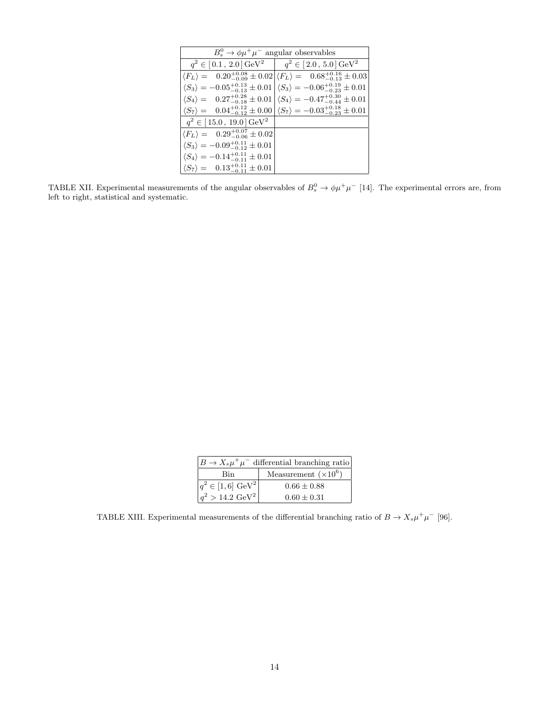| $B_s^0 \rightarrow \phi \mu^+ \mu^-$ angular observables                                                     |                                                                                                           |
|--------------------------------------------------------------------------------------------------------------|-----------------------------------------------------------------------------------------------------------|
| $q^2 \in [0.1, 2.0] \,\text{GeV}^2 \quad   \quad q^2 \in [2.0, 5.0] \,\text{GeV}^2$                          |                                                                                                           |
|                                                                                                              | $\langle F_L \rangle = 0.20^{+0.08}_{-0.09} \pm 0.02 \langle F_L \rangle = 0.68^{+0.16}_{-0.13} \pm 0.03$ |
| $\langle S_3 \rangle = -0.05^{+0.13}_{-0.13} \pm 0.01  \langle S_3 \rangle = -0.06^{+0.19}_{-0.23} \pm 0.01$ |                                                                                                           |
| $\langle S_4 \rangle = 0.27^{+0.28}_{-0.18} \pm 0.01  \langle S_4 \rangle = -0.47^{+0.30}_{-0.44} \pm 0.01$  |                                                                                                           |
| $\langle S_7 \rangle = 0.04^{+0.12}_{-0.12} \pm 0.00 \langle S_7 \rangle = -0.03^{+0.18}_{-0.23} \pm 0.01$   |                                                                                                           |
| $q^2 \in [15.0, 19.0] \,\text{GeV}^2$                                                                        |                                                                                                           |
| $\langle F_L \rangle = 0.29^{+0.07}_{-0.06} \pm 0.02$                                                        |                                                                                                           |
| $\langle S_3 \rangle = -0.09^{+0.11}_{-0.12} \pm 0.01$                                                       |                                                                                                           |
| $\langle S_4 \rangle = -0.14^{+0.11}_{-0.11} \pm 0.01$                                                       |                                                                                                           |
| $\langle S_7 \rangle = 0.13^{+0.11}_{-0.11} \pm 0.01$                                                        |                                                                                                           |

TABLE XII. Experimental measurements of the angular observables of  $B_s^0 \to \phi \mu^+ \mu^-$  [14]. The experimental errors are, from left to right, statistical and systematic.

| $B \to X_s \mu^+ \mu^-$ differential branching ratio |                             |
|------------------------------------------------------|-----------------------------|
| Bin                                                  | Measurement $(\times 10^6)$ |
| $q^2 \in [1,6]~\text{GeV}^2$                         | $0.66 + 0.88$               |
| $q^2 > 14.2 \text{ GeV}^2$                           | $0.60 + 0.31$               |

TABLE XIII. Experimental measurements of the differential branching ratio of  $B \to X_s \mu^+ \mu^-$  [96].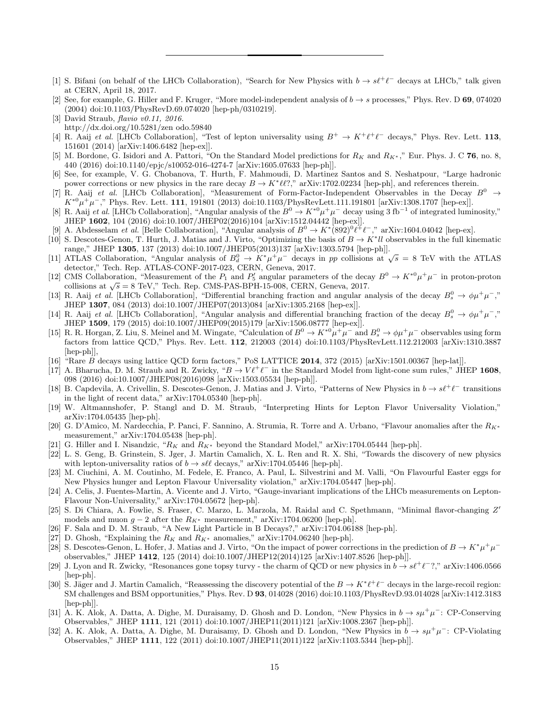- [1] S. Bifani (on behalf of the LHCb Collaboration), "Search for New Physics with  $b \to s\ell^+\ell^-$  decays at LHCb," talk given at CERN, April 18, 2017.
- [2] See, for example, G. Hiller and F. Kruger, "More model-independent analysis of  $b \rightarrow s$  processes," Phys. Rev. D 69, 074020 (2004) doi:10.1103/PhysRevD.69.074020 [hep-ph/0310219].
- [3] David Straub, flavio v0.11, 2016. http://dx.doi.org/10.5281/zen odo.59840
- [4] R. Aaij et al. [LHCb Collaboration], "Test of lepton universality using  $B^+ \to K^+ \ell^+ \ell^-$  decays," Phys. Rev. Lett. 113, 151601 (2014) [arXiv:1406.6482 [hep-ex]].
- [5] M. Bordone, G. Isidori and A. Pattori, "On the Standard Model predictions for  $R_K$  and  $R_{K^*}$ ," Eur. Phys. J. C 76, no. 8, 440 (2016) doi:10.1140/epjc/s10052-016-4274-7 [arXiv:1605.07633 [hep-ph]].
- [6] See, for example, V. G. Chobanova, T. Hurth, F. Mahmoudi, D. Martinez Santos and S. Neshatpour, "Large hadronic power corrections or new physics in the rare decay  $B \to K^* \ell \ell$ ?," arXiv:1702.02234 [hep-ph], and references therein.
- [7] R. Aaij et al. [LHCb Collaboration], "Measurement of Form-Factor-Independent Observables in the Decay  $B^0 \rightarrow$  $K^{*0}$  $^+\mu^-$ ," Phys. Rev. Lett. 111, 191801 (2013) doi:10.1103/PhysRevLett.111.191801 [arXiv:1308.1707 [hep-ex]].
- [8] R. Aaij et al. [LHCb Collaboration], "Angular analysis of the  $B^0 \to K^{*0} \mu^+ \mu^-$  decay using 3 fb<sup>-1</sup> of integrated luminosity," JHEP 1602, 104 (2016) doi:10.1007/JHEP02(2016)104 [arXiv:1512.04442 [hep-ex]].
- [9] A. Abdesselam *et al.* [Belle Collaboration], "Angular analysis of  $B^0 \to K^*(892)^0 \ell^+ \ell^-$ ," arXiv:1604.04042 [hep-ex].
- [10] S. Descotes-Genon, T. Hurth, J. Matias and J. Virto, "Optimizing the basis of  $B \to K^* l l$  observables in the full kinematic range," JHEP 1305, 137 (2013) doi:10.1007/JHEP05(2013)137 [arXiv:1303.5794 [hep-ph]].
- [11] ATLAS Collaboration, "Angular analysis of  $B_d^0 \to K^* \mu^+ \mu^-$  decays in pp collisions at  $\sqrt{s} = 8$  TeV with the ATLAS detector," Tech. Rep. ATLAS-CONF-2017-023, CERN, Geneva, 2017.
- [12] CMS Collaboration, "Measurement of the  $P_1$  and  $P'_5$  angular parameters of the decay  $B^0 \to K^{*0} \mu^+ \mu^-$  in proton-proton collisions at  $\sqrt{s} = 8$  TeV," Tech. Rep. CMS-PAS-BPH-15-008, CERN, Geneva, 2017.
- [13] R. Aaij et al. [LHCb Collaboration], "Differential branching fraction and angular analysis of the decay  $B_s^0 \to \phi \mu^+ \mu^-,$ " JHEP 1307, 084 (2013) doi:10.1007/JHEP07(2013)084 [arXiv:1305.2168 [hep-ex]].
- [14] R. Aaij et al. [LHCb Collaboration], "Angular analysis and differential branching fraction of the decay  $B_s^0 \to \phi \mu^+ \mu^-,$ " JHEP 1509, 179 (2015) doi:10.1007/JHEP09(2015)179 [arXiv:1506.08777 [hep-ex]].
- [15] R. R. Horgan, Z. Liu, S. Meinel and M. Wingate, "Calculation of  $B^0 \to K^{*0} \mu^+ \mu^-$  and  $B^0 \to \phi \mu^+ \mu^-$  observables using form factors from lattice QCD," Phys. Rev. Lett. 112, 212003 (2014) doi:10.1103/PhysRevLett.112.212003 [arXiv:1310.3887 [hep-ph]],
- [16] "Rare B decays using lattice QCD form factors," PoS LATTICE 2014, 372 (2015) [arXiv:1501.00367 [hep-lat]].
- [17] A. Bharucha, D. M. Straub and R. Zwicky, " $B \to V \ell^+ \ell^-$  in the Standard Model from light-cone sum rules," JHEP 1608, 098 (2016) doi:10.1007/JHEP08(2016)098 [arXiv:1503.05534 [hep-ph]].
- [18] B. Capdevila, A. Crivellin, S. Descotes-Genon, J. Matias and J. Virto, "Patterns of New Physics in  $b \to s\ell^+\ell^-$  transitions in the light of recent data," arXiv:1704.05340 [hep-ph].
- [19] W. Altmannshofer, P. Stangl and D. M. Straub, "Interpreting Hints for Lepton Flavor Universality Violation," arXiv:1704.05435 [hep-ph].
- [20] G. D'Amico, M. Nardecchia, P. Panci, F. Sannino, A. Strumia, R. Torre and A. Urbano, "Flavour anomalies after the  $R_{K^*}$ measurement," arXiv:1704.05438 [hep-ph].
- [21] G. Hiller and I. Nisandzic, " $R_K$  and  $R_{K^*}$  beyond the Standard Model," arXiv:1704.05444 [hep-ph].
- [22] L. S. Geng, B. Grinstein, S. Jger, J. Martin Camalich, X. L. Ren and R. X. Shi, "Towards the discovery of new physics with lepton-universality ratios of  $b \rightarrow s \ell \ell$  decays," arXiv:1704.05446 [hep-ph].
- [23] M. Ciuchini, A. M. Coutinho, M. Fedele, E. Franco, A. Paul, L. Silvestrini and M. Valli, "On Flavourful Easter eggs for New Physics hunger and Lepton Flavour Universality violation," arXiv:1704.05447 [hep-ph].
- [24] A. Celis, J. Fuentes-Martin, A. Vicente and J. Virto, "Gauge-invariant implications of the LHCb measurements on Lepton-Flavour Non-Universality," arXiv:1704.05672 [hep-ph].
- [25] S. Di Chiara, A. Fowlie, S. Fraser, C. Marzo, L. Marzola, M. Raidal and C. Spethmann, "Minimal flavor-changing Z' models and muon  $g - 2$  after the  $R_{K^*}$  measurement," arXiv:1704.06200 [hep-ph].
- [26] F. Sala and D. M. Straub, "A New Light Particle in B Decays?," arXiv:1704.06188 [hep-ph].
- [27] D. Ghosh, "Explaining the  $R_K$  and  $R_{K^*}$  anomalies," arXiv:1704.06240 [hep-ph].
- [28] S. Descotes-Genon, L. Hofer, J. Matias and J. Virto, "On the impact of power corrections in the prediction of  $B \to K^* \mu^+ \mu^$ observables," JHEP 1412, 125 (2014) doi:10.1007/JHEP12(2014)125 [arXiv:1407.8526 [hep-ph]].
- [29] J. Lyon and R. Zwicky, "Resonances gone topsy turvy the charm of QCD or new physics in  $b \to s\ell^+\ell^-$ ?," arXiv:1406.0566 [hep-ph].
- [30] S. Jäger and J. Martin Camalich, "Reassessing the discovery potential of the  $B \to K^* \ell^+ \ell^-$  decays in the large-recoil region: SM challenges and BSM opportunities," Phys. Rev. D 93, 014028 (2016) doi:10.1103/PhysRevD.93.014028 [arXiv:1412.3183 [hep-ph]].
- [31] A. K. Alok, A. Datta, A. Dighe, M. Duraisamy, D. Ghosh and D. London, "New Physics in  $b \to s\mu^+\mu^-$ : CP-Conserving Observables," JHEP 1111, 121 (2011) doi:10.1007/JHEP11(2011)121 [arXiv:1008.2367 [hep-ph]].
- [32] A. K. Alok, A. Datta, A. Dighe, M. Duraisamy, D. Ghosh and D. London, "New Physics in  $b \to s\mu^+\mu^-$ : CP-Violating Observables," JHEP 1111, 122 (2011) doi:10.1007/JHEP11(2011)122 [arXiv:1103.5344 [hep-ph]].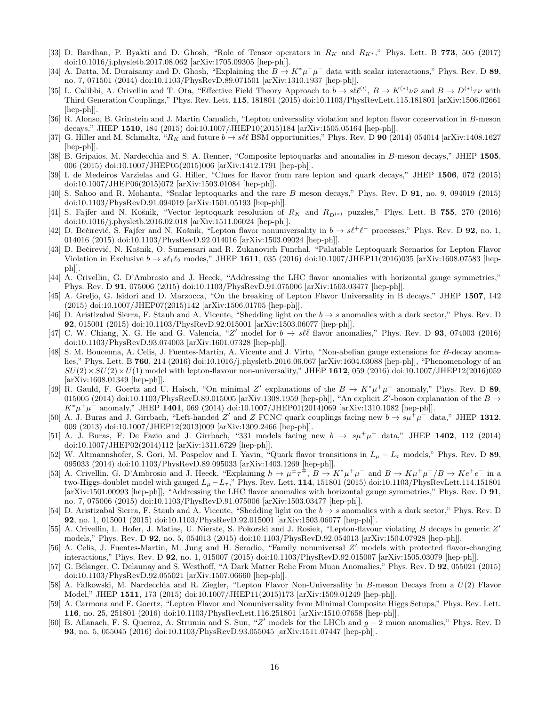- [33] D. Bardhan, P. Byakti and D. Ghosh, "Role of Tensor operators in  $R_K$  and  $R_{K^*}$ ," Phys. Lett. B 773, 505 (2017) doi:10.1016/j.physletb.2017.08.062 [arXiv:1705.09305 [hep-ph]].
- [34] A. Datta, M. Duraisamy and D. Ghosh, "Explaining the  $B \to K^* \mu^+ \mu^-$  data with scalar interactions," Phys. Rev. D 89, no. 7, 071501 (2014) doi:10.1103/PhysRevD.89.071501 [arXiv:1310.1937 [hep-ph]].
- [35] L. Calibbi, A. Crivellin and T. Ota, "Effective Field Theory Approach to  $b \to s\ell\ell^{(\prime)}$ ,  $B \to K^{(*)}\nu\bar{\nu}$  and  $B \to D^{(*)}\tau\nu$  with Third Generation Couplings," Phys. Rev. Lett. 115, 181801 (2015) doi:10.1103/PhysRevLett.115.181801 [arXiv:1506.02661 [hep-ph]].
- [36] R. Alonso, B. Grinstein and J. Martin Camalich, "Lepton universality violation and lepton flavor conservation in B-meson decays," JHEP 1510, 184 (2015) doi:10.1007/JHEP10(2015)184 [arXiv:1505.05164 [hep-ph]].
- [37] G. Hiller and M. Schmaltz, " $R_K$  and future  $b \to s \ell \ell$  BSM opportunities," Phys. Rev. D 90 (2014) 054014 [arXiv:1408.1627 [hep-ph]].
- [38] B. Gripaios, M. Nardecchia and S. A. Renner, "Composite leptoquarks and anomalies in B-meson decays," JHEP 1505, 006 (2015) doi:10.1007/JHEP05(2015)006 [arXiv:1412.1791 [hep-ph]].
- [39] I. de Medeiros Varzielas and G. Hiller, "Clues for flavor from rare lepton and quark decays," JHEP 1506, 072 (2015) doi:10.1007/JHEP06(2015)072 [arXiv:1503.01084 [hep-ph]].
- [40] S. Sahoo and R. Mohanta, "Scalar leptoquarks and the rare B meson decays," Phys. Rev. D 91, no. 9, 094019 (2015) doi:10.1103/PhysRevD.91.094019 [arXiv:1501.05193 [hep-ph]].
- [41] S. Fajfer and N. Košnik, "Vector leptoquark resolution of  $R_K$  and  $R_{D(*)}$  puzzles," Phys. Lett. B 755, 270 (2016) doi:10.1016/j.physletb.2016.02.018 [arXiv:1511.06024 [hep-ph]].
- [42] D. Bečirević, S. Fajfer and N. Košnik, "Lepton flavor nonuniversality in  $b \to s\ell^+\ell^-$  processes," Phys. Rev. D 92, no. 1, 014016 (2015) doi:10.1103/PhysRevD.92.014016 [arXiv:1503.09024 [hep-ph]].
- [43] D. Bečirević, N. Košnik, O. Sumensari and R. Zukanovich Funchal, "Palatable Leptoquark Scenarios for Lepton Flavor Violation in Exclusive  $b \to s\ell_1\ell_2$  modes," JHEP 1611, 035 (2016) doi:10.1007/JHEP11(2016)035 [arXiv:1608.07583 [hepph]].
- [44] A. Crivellin, G. D'Ambrosio and J. Heeck, "Addressing the LHC flavor anomalies with horizontal gauge symmetries," Phys. Rev. D 91, 075006 (2015) doi:10.1103/PhysRevD.91.075006 [arXiv:1503.03477 [hep-ph]].
- [45] A. Greljo, G. Isidori and D. Marzocca, "On the breaking of Lepton Flavor Universality in B decays," JHEP 1507, 142 (2015) doi:10.1007/JHEP07(2015)142 [arXiv:1506.01705 [hep-ph]].
- [46] D. Aristizabal Sierra, F. Staub and A. Vicente, "Shedding light on the  $b \rightarrow s$  anomalies with a dark sector," Phys. Rev. D 92, 015001 (2015) doi:10.1103/PhysRevD.92.015001 [arXiv:1503.06077 [hep-ph]].
- [47] C. W. Chiang, X. G. He and G. Valencia, "Z' model for  $b \to s\ell\bar{\ell}$  flavor anomalies," Phys. Rev. D 93, 074003 (2016) doi:10.1103/PhysRevD.93.074003 [arXiv:1601.07328 [hep-ph]].
- [48] S. M. Boucenna, A. Celis, J. Fuentes-Martin, A. Vicente and J. Virto, "Non-abelian gauge extensions for B-decay anomalies," Phys. Lett. B 760, 214 (2016) doi:10.1016/j.physletb.2016.06.067 [arXiv:1604.03088 [hep-ph]], "Phenomenology of an  $SU(2)\times SU(2)\times U(1)$  model with lepton-flavour non-universality," JHEP 1612, 059 (2016) doi:10.1007/JHEP12(2016)059 [arXiv:1608.01349 [hep-ph]].
- [49] R. Gauld, F. Goertz and U. Haisch, "On minimal Z' explanations of the  $B \to K^* \mu^+ \mu^-$  anomaly," Phys. Rev. D 89, 015005 (2014) doi:10.1103/PhysRevD.89.015005 [arXiv:1308.1959 [hep-ph]], "An explicit  $Z'$ -boson explanation of the  $B \to$  $K^* \mu^+ \mu^-$  anomaly," JHEP 1401, 069 (2014) doi:10.1007/JHEP01(2014)069 [arXiv:1310.1082 [hep-ph]].
- [50] A. J. Buras and J. Girrbach, "Left-handed Z' and Z FCNC quark couplings facing new  $b \to s\mu^+\mu^-$  data," JHEP 1312, 009 (2013) doi:10.1007/JHEP12(2013)009 [arXiv:1309.2466 [hep-ph]].
- [51] A. J. Buras, F. De Fazio and J. Girrbach, "331 models facing new  $b \to s\mu^+\mu^-$  data," JHEP 1402, 112 (2014) doi:10.1007/JHEP02(2014)112 [arXiv:1311.6729 [hep-ph]].
- [52] W. Altmannshofer, S. Gori, M. Pospelov and I. Yavin, "Quark flavor transitions in  $L_{\mu} L_{\tau}$  models," Phys. Rev. D 89, 095033 (2014) doi:10.1103/PhysRevD.89.095033 [arXiv:1403.1269 [hep-ph]].
- [53] A. Crivellin, G. D'Ambrosio and J. Heeck, "Explaining  $h \to \mu^{\pm} \tau^{\mp}$ ,  $B \to K^* \mu^+ \mu^-$  and  $B \to K \mu^+ \mu^- / B \to K e^+ e^-$  in a two-Higgs-doublet model with gauged  $L_{\mu}-L_{\tau}$ ," Phys. Rev. Lett. 114, 151801 (2015) doi:10.1103/PhysRevLett.114.151801 [arXiv:1501.00993 [hep-ph]], "Addressing the LHC flavor anomalies with horizontal gauge symmetries," Phys. Rev. D 91, no. 7, 075006 (2015) doi:10.1103/PhysRevD.91.075006 [arXiv:1503.03477 [hep-ph]].
- [54] D. Aristizabal Sierra, F. Staub and A. Vicente, "Shedding light on the  $b \rightarrow s$  anomalies with a dark sector," Phys. Rev. D 92, no. 1, 015001 (2015) doi:10.1103/PhysRevD.92.015001 [arXiv:1503.06077 [hep-ph]].
- [55] A. Crivellin, L. Hofer, J. Matias, U. Nierste, S. Pokorski and J. Rosiek, "Lepton-flavour violating B decays in generic Z' models," Phys. Rev. D 92, no. 5, 054013 (2015) doi:10.1103/PhysRevD.92.054013 [arXiv:1504.07928 [hep-ph]].
- [56] A. Celis, J. Fuentes-Martin, M. Jung and H. Serodio, "Family nonuniversal Z' models with protected flavor-changing interactions," Phys. Rev. D 92, no. 1, 015007 (2015) doi:10.1103/PhysRevD.92.015007 [arXiv:1505.03079 [hep-ph]].
- [57] G. Bélanger, C. Delaunay and S. Westhoff, "A Dark Matter Relic From Muon Anomalies," Phys. Rev. D 92, 055021 (2015) doi:10.1103/PhysRevD.92.055021 [arXiv:1507.06660 [hep-ph]].
- [58] A. Falkowski, M. Nardecchia and R. Ziegler, "Lepton Flavor Non-Universality in B-meson Decays from a U(2) Flavor Model," JHEP 1511, 173 (2015) doi:10.1007/JHEP11(2015)173 [arXiv:1509.01249 [hep-ph]].
- [59] A. Carmona and F. Goertz, "Lepton Flavor and Nonuniversality from Minimal Composite Higgs Setups," Phys. Rev. Lett. 116, no. 25, 251801 (2016) doi:10.1103/PhysRevLett.116.251801 [arXiv:1510.07658 [hep-ph]].
- [60] B. Allanach, F. S. Queiroz, A. Strumia and S. Sun, "Z ′ models for the LHCb and <sup>g</sup> <sup>−</sup> 2 muon anomalies," Phys. Rev. D 93, no. 5, 055045 (2016) doi:10.1103/PhysRevD.93.055045 [arXiv:1511.07447 [hep-ph]].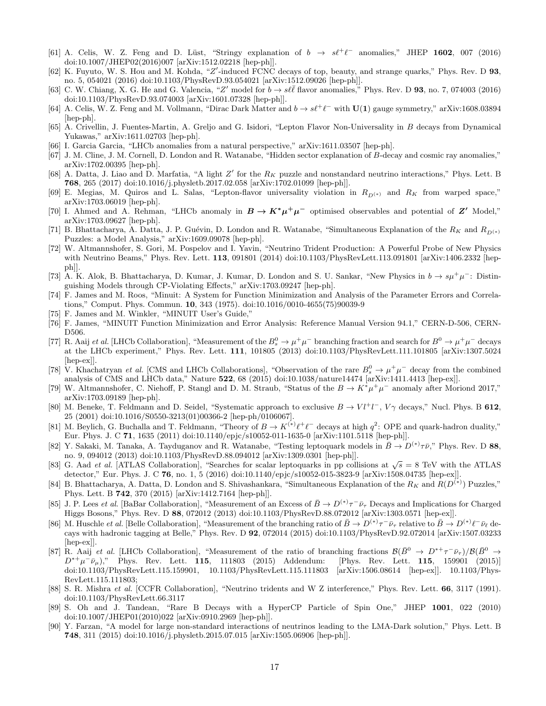- [61] A. Celis, W. Z. Feng and D. Lüst, "Stringy explanation of  $b \rightarrow s\ell^+\ell^-$  anomalies," JHEP 1602, 007 (2016) doi:10.1007/JHEP02(2016)007 [arXiv:1512.02218 [hep-ph]].
- [62] K. Fuyuto, W. S. Hou and M. Kohda, "Z'-induced FCNC decays of top, beauty, and strange quarks," Phys. Rev. D 93, no. 5, 054021 (2016) doi:10.1103/PhysRevD.93.054021 [arXiv:1512.09026 [hep-ph]].
- [63] C. W. Chiang, X. G. He and G. Valencia, "Z' model for  $b \to s\ell\bar{\ell}$  flavor anomalies," Phys. Rev. D 93, no. 7, 074003 (2016) doi:10.1103/PhysRevD.93.074003 [arXiv:1601.07328 [hep-ph]].
- [64] A. Celis, W. Z. Feng and M. Vollmann, "Dirac Dark Matter and  $b \to s\ell^+\ell^-$  with  $\mathbf{U(1)}$  gauge symmetry," arXiv:1608.03894 [hep-ph].
- [65] A. Crivellin, J. Fuentes-Martin, A. Greljo and G. Isidori, "Lepton Flavor Non-Universality in B decays from Dynamical Yukawas," arXiv:1611.02703 [hep-ph].
- [66] I. Garcia Garcia, "LHCb anomalies from a natural perspective," arXiv:1611.03507 [hep-ph].
- [67] J. M. Cline, J. M. Cornell, D. London and R. Watanabe, "Hidden sector explanation of B-decay and cosmic ray anomalies," arXiv:1702.00395 [hep-ph].
- [68] A. Datta, J. Liao and D. Marfatia, "A light  $Z'$  for the  $R_K$  puzzle and nonstandard neutrino interactions," Phys. Lett. B 768, 265 (2017) doi:10.1016/j.physletb.2017.02.058 [arXiv:1702.01099 [hep-ph]].
- [69] E. Megias, M. Quiros and L. Salas, "Lepton-flavor universality violation in  $R_{D(*)}$  and  $R_K$  from warped space," arXiv:1703.06019 [hep-ph].
- [70] I. Ahmed and A. Rehman, "LHCb anomaly in  $B \to K^* \mu^+ \mu^-$  optimised observables and potential of Z' Model," arXiv:1703.09627 [hep-ph].
- [71] B. Bhattacharya, A. Datta, J. P. Guévin, D. London and R. Watanabe, "Simultaneous Explanation of the  $R_K$  and  $R_{D(*)}$ Puzzles: a Model Analysis," arXiv:1609.09078 [hep-ph].
- [72] W. Altmannshofer, S. Gori, M. Pospelov and I. Yavin, "Neutrino Trident Production: A Powerful Probe of New Physics with Neutrino Beams," Phys. Rev. Lett. 113, 091801 (2014) doi:10.1103/PhysRevLett.113.091801 [arXiv:1406.2332 [hepph]].
- [73] A. K. Alok, B. Bhattacharya, D. Kumar, J. Kumar, D. London and S. U. Sankar, "New Physics in  $b \to s\mu^+\mu^-$ : Distinguishing Models through CP-Violating Effects," arXiv:1703.09247 [hep-ph].
- [74] F. James and M. Roos, "Minuit: A System for Function Minimization and Analysis of the Parameter Errors and Correlations," Comput. Phys. Commun. 10, 343 (1975). doi:10.1016/0010-4655(75)90039-9
- [75] F. James and M. Winkler, "MINUIT User's Guide,"
- [76] F. James, "MINUIT Function Minimization and Error Analysis: Reference Manual Version 94.1," CERN-D-506, CERN-D506.
- [77] R. Aaij et al. [LHCb Collaboration], "Measurement of the  $B_s^0 \to \mu^+\mu^-$  branching fraction and search for  $B^0 \to \mu^+\mu^-$  decays at the LHCb experiment," Phys. Rev. Lett. 111, 101805 (2013) doi:10.1103/PhysRevLett.111.101805 [arXiv:1307.5024 [hep-ex]].
- [78] V. Khachatryan et al. [CMS and LHCb Collaborations], "Observation of the rare  $B_s^0 \to \mu^+\mu^-$  decay from the combined analysis of CMS and LHCb data," Nature 522, 68 (2015) doi:10.1038/nature14474 [arXiv:1411.4413 [hep-ex]].
- [79] W. Altmannshofer, C. Niehoff, P. Stangl and D. M. Straub, "Status of the  $B \to K^* \mu^+ \mu^-$  anomaly after Moriond 2017," arXiv:1703.09189 [hep-ph].
- [80] M. Beneke, T. Feldmann and D. Seidel, "Systematic approach to exclusive  $B \to V l^+ l^-$ ,  $V \gamma$  decays," Nucl. Phys. B 612, 25 (2001) doi:10.1016/S0550-3213(01)00366-2 [hep-ph/0106067].
- [81] M. Beylich, G. Buchalla and T. Feldmann, "Theory of  $B \to K^{(*)} \ell^+ \ell^-$  decays at high  $q^2$ : OPE and quark-hadron duality," Eur. Phys. J. C 71, 1635 (2011) doi:10.1140/epjc/s10052-011-1635-0 [arXiv:1101.5118 [hep-ph]].
- [82] Y. Sakaki, M. Tanaka, A. Tayduganov and R. Watanabe, "Testing leptoquark models in  $\bar{B} \to D^{(*)}\tau\bar{\nu}$ ," Phys. Rev. D 88, no. 9, 094012 (2013) doi:10.1103/PhysRevD.88.094012 [arXiv:1309.0301 [hep-ph]].
- [83] G. Aad *et al.* [ATLAS Collaboration], "Searches for scalar leptoquarks in pp collisions at  $\sqrt{s} = 8$  TeV with the ATLAS detector," Eur. Phys. J. C 76, no. 1, 5 (2016) doi:10.1140/epjc/s10052-015-3823-9 [arXiv:1508.04735 [hep-ex]].
- [84] B. Bhattacharya, A. Datta, D. London and S. Shivashankara, "Simultaneous Explanation of the  $R_K$  and  $R(D^{(*)})$  Puzzles," Phys. Lett. B 742, 370 (2015) [arXiv:1412.7164 [hep-ph]].
- [85] J. P. Lees *et al.* [BaBar Collaboration], "Measurement of an Excess of  $\bar{B} \to D^{(*)}\tau^-\bar{\nu}_{\tau}$  Decays and Implications for Charged Higgs Bosons," Phys. Rev. D 88, 072012 (2013) doi:10.1103/PhysRevD.88.072012 [arXiv:1303.0571 [hep-ex]].
- [86] M. Huschle *et al.* [Belle Collaboration], "Measurement of the branching ratio of  $\bar{B} \to D^{(*)}\tau^- \bar{\nu}_{\tau}$  relative to  $\bar{B} \to D^{(*)}\ell^- \bar{\nu}_{\ell}$  decays with hadronic tagging at Belle," Phys. Rev. D 92, 072014 (2015) doi:10.1103/PhysRevD.92.072014 [arXiv:1507.03233 [hep-ex]].
- [87] R. Aaij et al. [LHCb Collaboration], "Measurement of the ratio of branching fractions  $\mathcal{B}(\bar{B}^0 \to D^{*+}\tau^-\bar{\nu}_{\tau})/\mathcal{B}(\bar{B}^0 \to D^{*+}\tau^- \bar{\nu}_{\tau})$  $D^{*+}\mu^-\bar{\nu}_{\mu}$ ," Phys. Rev. Lett. 115, 111803 (2015) Addendum: [Phys. Rev. Lett. 115, 159901 (2015)] doi:10.1103/PhysRevLett.115.159901, 10.1103/PhysRevLett.115.111803 [arXiv:1506.08614 [hep-ex]]. 10.1103/Phys-RevLett.115.111803;
- [88] S. R. Mishra et al. [CCFR Collaboration], "Neutrino tridents and W Z interference," Phys. Rev. Lett. 66, 3117 (1991). doi:10.1103/PhysRevLett.66.3117
- [89] S. Oh and J. Tandean, "Rare B Decays with a HyperCP Particle of Spin One," JHEP 1001, 022 (2010) doi:10.1007/JHEP01(2010)022 [arXiv:0910.2969 [hep-ph]].
- [90] Y. Farzan, "A model for large non-standard interactions of neutrinos leading to the LMA-Dark solution," Phys. Lett. B 748, 311 (2015) doi:10.1016/j.physletb.2015.07.015 [arXiv:1505.06906 [hep-ph]].